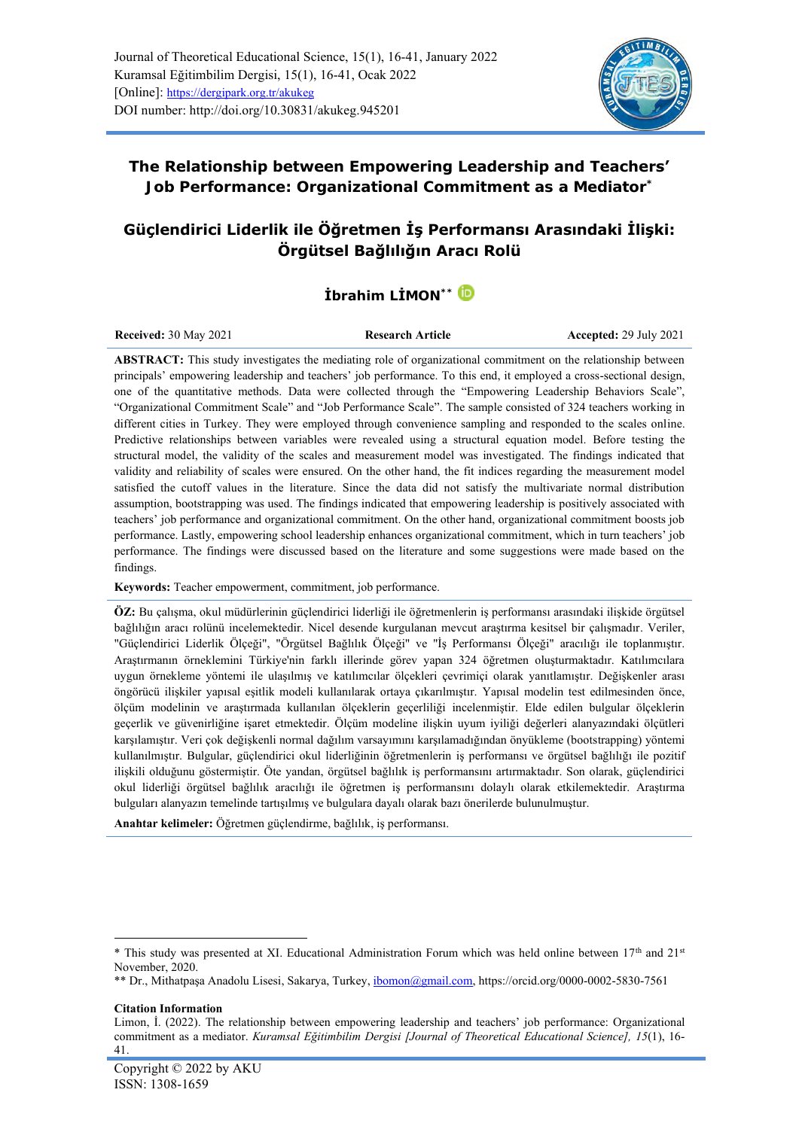

## **The Relationship between Empowering Leadership and Teachers'**

**Job Performance: Organizational Commitment as a Mediator\***

# **Güçlendirici Liderlik ile Öğretmen İş Performansı Arasındaki İlişki: Örgütsel Bağlılığın Aracı Rolü**

# **İbrahim LİMON\*\***

**Received:** 30 May 2021 **Research Article Accepted:** 29 July 2021

**ABSTRACT:** This study investigates the mediating role of organizational commitment on the relationship between principals' empowering leadership and teachers' job performance. To this end, it employed a cross-sectional design, one of the quantitative methods. Data were collected through the "Empowering Leadership Behaviors Scale", "Organizational Commitment Scale" and "Job Performance Scale". The sample consisted of 324 teachers working in different cities in Turkey. They were employed through convenience sampling and responded to the scales online. Predictive relationships between variables were revealed using a structural equation model. Before testing the structural model, the validity of the scales and measurement model was investigated. The findings indicated that validity and reliability of scales were ensured. On the other hand, the fit indices regarding the measurement model satisfied the cutoff values in the literature. Since the data did not satisfy the multivariate normal distribution assumption, bootstrapping was used. The findings indicated that empowering leadership is positively associated with teachers' job performance and organizational commitment. On the other hand, organizational commitment boosts job performance. Lastly, empowering school leadership enhances organizational commitment, which in turn teachers' job performance. The findings were discussed based on the literature and some suggestions were made based on the findings.

**Keywords:** Teacher empowerment, commitment, job performance.

**ÖZ:** Bu çalışma, okul müdürlerinin güçlendirici liderliği ile öğretmenlerin iş performansı arasındaki ilişkide örgütsel bağlılığın aracı rolünü incelemektedir. Nicel desende kurgulanan mevcut araştırma kesitsel bir çalışmadır. Veriler, "Güçlendirici Liderlik Ölçeği", "Örgütsel Bağlılık Ölçeği" ve "İş Performansı Ölçeği" aracılığı ile toplanmıştır. Araştırmanın örneklemini Türkiye'nin farklı illerinde görev yapan 324 öğretmen oluşturmaktadır. Katılımcılara uygun örnekleme yöntemi ile ulaşılmış ve katılımcılar ölçekleri çevrimiçi olarak yanıtlamıştır. Değişkenler arası öngörücü ilişkiler yapısal eşitlik modeli kullanılarak ortaya çıkarılmıştır. Yapısal modelin test edilmesinden önce, ölçüm modelinin ve araştırmada kullanılan ölçeklerin geçerliliği incelenmiştir. Elde edilen bulgular ölçeklerin geçerlik ve güvenirliğine işaret etmektedir. Ölçüm modeline ilişkin uyum iyiliği değerleri alanyazındaki ölçütleri karşılamıştır. Veri çok değişkenli normal dağılım varsayımını karşılamadığından önyükleme (bootstrapping) yöntemi kullanılmıştır. Bulgular, güçlendirici okul liderliğinin öğretmenlerin iş performansı ve örgütsel bağlılığı ile pozitif ilişkili olduğunu göstermiştir. Öte yandan, örgütsel bağlılık iş performansını artırmaktadır. Son olarak, güçlendirici okul liderliği örgütsel bağlılık aracılığı ile öğretmen iş performansını dolaylı olarak etkilemektedir. Araştırma bulguları alanyazın temelinde tartışılmış ve bulgulara dayalı olarak bazı önerilerde bulunulmuştur.

**Anahtar kelimeler:** Öğretmen güçlendirme, bağlılık, iş performansı.

**Citation Information**

<sup>\*</sup> This study was presented at XI. Educational Administration Forum which was held online between 17th and 21st November, 2020.

<sup>\*\*</sup> Dr., Mithatpaşa Anadolu Lisesi, Sakarya, Turkey[, ibomon@gmail.com,](mailto:ibomon@gmail.com)<https://orcid.org/0000-0002-5830-7561>

Limon, İ. (2022). The relationship between empowering leadership and teachers' job performance: Organizational commitment as a mediator. *Kuramsal Eğitimbilim Dergisi [Journal of Theoretical Educational Science], 15*(1), 16- 41.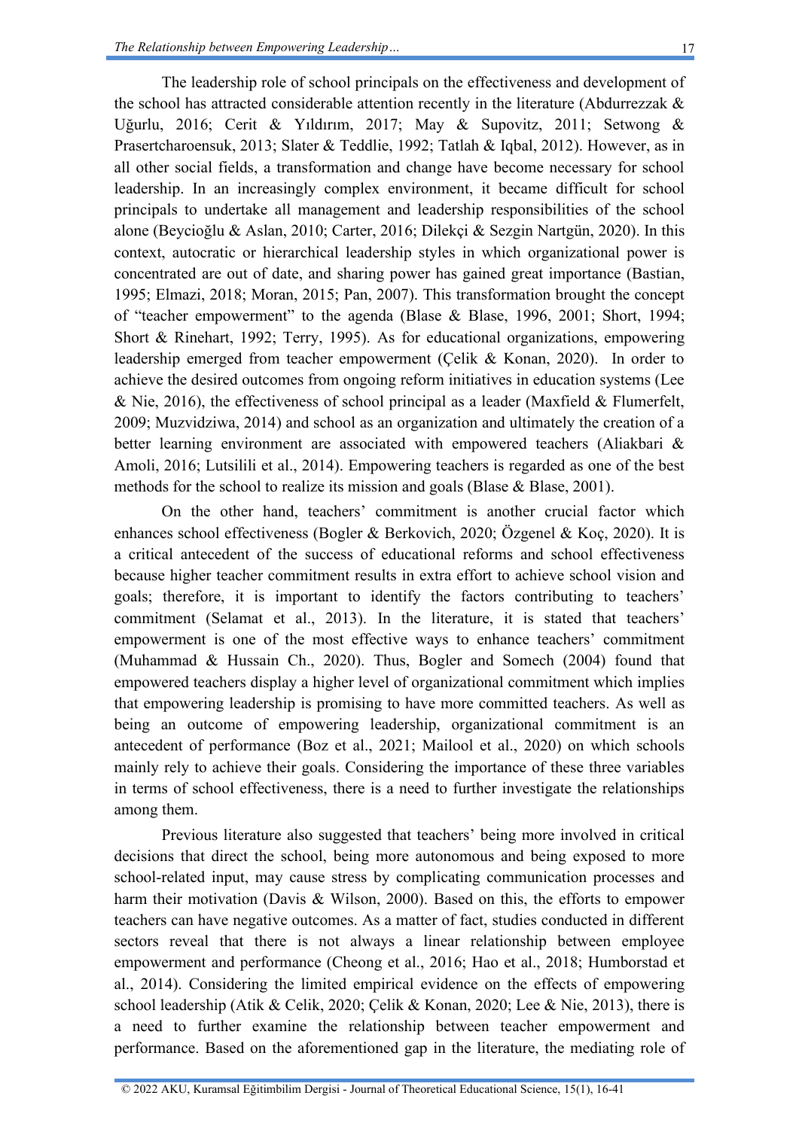The leadership role of school principals on the effectiveness and development of the school has attracted considerable attention recently in the literature (Abdurrezzak & Uğurlu, 2016; Cerit & Yıldırım, 2017; May & Supovitz, 2011; Setwong & Prasertcharoensuk, 2013; Slater & Teddlie, 1992; Tatlah & Iqbal, 2012). However, as in all other social fields, a transformation and change have become necessary for school leadership. In an increasingly complex environment, it became difficult for school principals to undertake all management and leadership responsibilities of the school alone (Beycioğlu & Aslan, 2010; Carter, 2016; Dilekçi & Sezgin Nartgün, 2020). In this context, autocratic or hierarchical leadership styles in which organizational power is concentrated are out of date, and sharing power has gained great importance (Bastian, 1995; Elmazi, 2018; Moran, 2015; Pan, 2007). This transformation brought the concept of "teacher empowerment" to the agenda (Blase & Blase, 1996, 2001; Short, 1994; Short & Rinehart, 1992; Terry, 1995). As for educational organizations, empowering leadership emerged from teacher empowerment (Çelik & Konan, 2020). In order to achieve the desired outcomes from ongoing reform initiatives in education systems (Lee  $&$  Nie, 2016), the effectiveness of school principal as a leader (Maxfield  $&$  Flumerfelt, 2009; Muzvidziwa, 2014) and school as an organization and ultimately the creation of a better learning environment are associated with empowered teachers (Aliakbari & Amoli, 2016; Lutsilili et al., 2014). Empowering teachers is regarded as one of the best methods for the school to realize its mission and goals (Blase & Blase, 2001).

On the other hand, teachers' commitment is another crucial factor which enhances school effectiveness (Bogler & Berkovich, 2020; Özgenel & Koç, 2020). It is a critical antecedent of the success of educational reforms and school effectiveness because higher teacher commitment results in extra effort to achieve school vision and goals; therefore, it is important to identify the factors contributing to teachers' commitment (Selamat et al., 2013). In the literature, it is stated that teachers' empowerment is one of the most effective ways to enhance teachers' commitment (Muhammad & Hussain Ch., 2020). Thus, Bogler and Somech (2004) found that empowered teachers display a higher level of organizational commitment which implies that empowering leadership is promising to have more committed teachers. As well as being an outcome of empowering leadership, organizational commitment is an antecedent of performance (Boz et al., 2021; Mailool et al., 2020) on which schools mainly rely to achieve their goals. Considering the importance of these three variables in terms of school effectiveness, there is a need to further investigate the relationships among them.

Previous literature also suggested that teachers' being more involved in critical decisions that direct the school, being more autonomous and being exposed to more school-related input, may cause stress by complicating communication processes and harm their motivation (Davis & Wilson, 2000). Based on this, the efforts to empower teachers can have negative outcomes. As a matter of fact, studies conducted in different sectors reveal that there is not always a linear relationship between employee empowerment and performance (Cheong et al., 2016; Hao et al., 2018; Humborstad et al., 2014). Considering the limited empirical evidence on the effects of empowering school leadership (Atik & Celik, 2020; Çelik & Konan, 2020; Lee & Nie, 2013), there is a need to further examine the relationship between teacher empowerment and performance. Based on the aforementioned gap in the literature, the mediating role of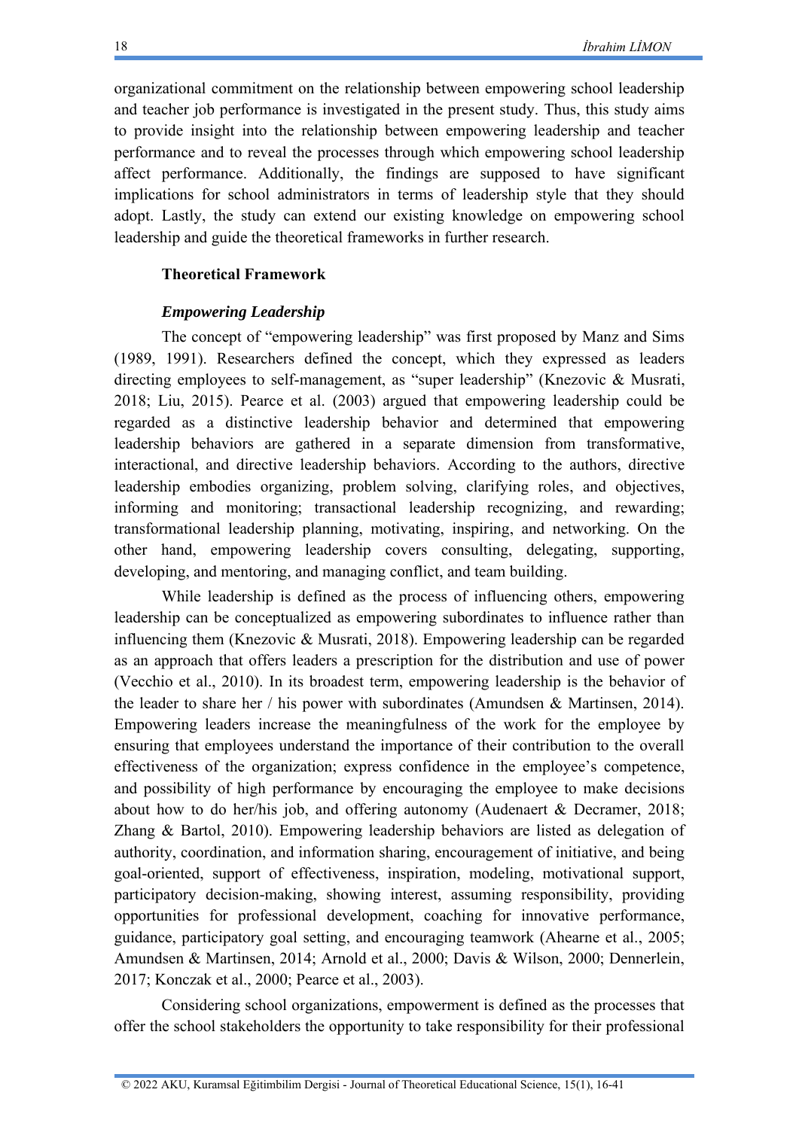organizational commitment on the relationship between empowering school leadership and teacher job performance is investigated in the present study. Thus, this study aims to provide insight into the relationship between empowering leadership and teacher performance and to reveal the processes through which empowering school leadership affect performance. Additionally, the findings are supposed to have significant implications for school administrators in terms of leadership style that they should adopt. Lastly, the study can extend our existing knowledge on empowering school leadership and guide the theoretical frameworks in further research.

#### **Theoretical Framework**

#### *Empowering Leadership*

The concept of "empowering leadership" was first proposed by Manz and Sims (1989, 1991). Researchers defined the concept, which they expressed as leaders directing employees to self-management, as "super leadership" (Knezovic & Musrati, 2018; Liu, 2015). Pearce et al. (2003) argued that empowering leadership could be regarded as a distinctive leadership behavior and determined that empowering leadership behaviors are gathered in a separate dimension from transformative, interactional, and directive leadership behaviors. According to the authors, directive leadership embodies organizing, problem solving, clarifying roles, and objectives, informing and monitoring; transactional leadership recognizing, and rewarding; transformational leadership planning, motivating, inspiring, and networking. On the other hand, empowering leadership covers consulting, delegating, supporting, developing, and mentoring, and managing conflict, and team building.

While leadership is defined as the process of influencing others, empowering leadership can be conceptualized as empowering subordinates to influence rather than influencing them (Knezovic & Musrati, 2018). Empowering leadership can be regarded as an approach that offers leaders a prescription for the distribution and use of power (Vecchio et al., 2010). In its broadest term, empowering leadership is the behavior of the leader to share her / his power with subordinates (Amundsen & Martinsen, 2014). Empowering leaders increase the meaningfulness of the work for the employee by ensuring that employees understand the importance of their contribution to the overall effectiveness of the organization; express confidence in the employee's competence, and possibility of high performance by encouraging the employee to make decisions about how to do her/his job, and offering autonomy (Audenaert & Decramer, 2018; Zhang & Bartol, 2010). Empowering leadership behaviors are listed as delegation of authority, coordination, and information sharing, encouragement of initiative, and being goal-oriented, support of effectiveness, inspiration, modeling, motivational support, participatory decision-making, showing interest, assuming responsibility, providing opportunities for professional development, coaching for innovative performance, guidance, participatory goal setting, and encouraging teamwork (Ahearne et al., 2005; Amundsen & Martinsen, 2014; Arnold et al., 2000; Davis & Wilson, 2000; Dennerlein, 2017; Konczak et al., 2000; Pearce et al., 2003).

Considering school organizations, empowerment is defined as the processes that offer the school stakeholders the opportunity to take responsibility for their professional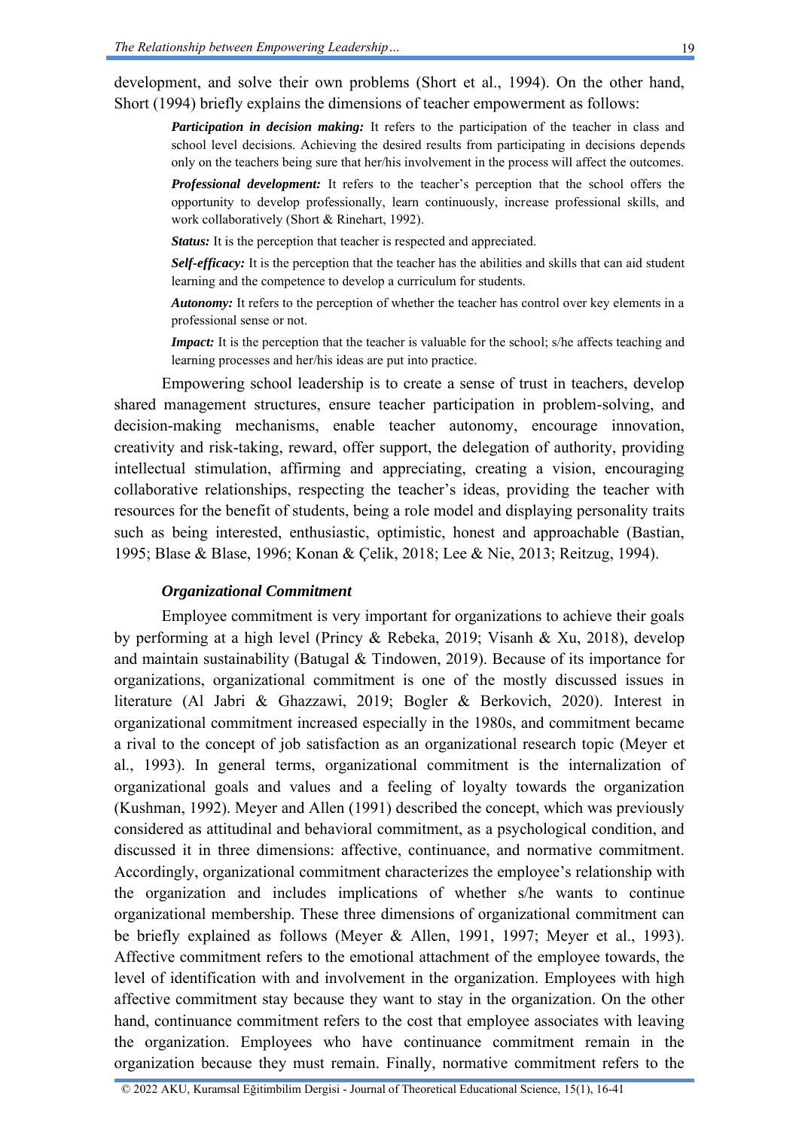development, and solve their own problems (Short et al., 1994). On the other hand, Short (1994) briefly explains the dimensions of teacher empowerment as follows:

*Participation in decision making:* It refers to the participation of the teacher in class and school level decisions. Achieving the desired results from participating in decisions depends only on the teachers being sure that her/his involvement in the process will affect the outcomes.

*Professional development:* It refers to the teacher's perception that the school offers the opportunity to develop professionally, learn continuously, increase professional skills, and work collaboratively (Short & Rinehart, 1992).

*Status:* It is the perception that teacher is respected and appreciated.

*Self-efficacy:* It is the perception that the teacher has the abilities and skills that can aid student learning and the competence to develop a curriculum for students.

*Autonomy:* It refers to the perception of whether the teacher has control over key elements in a professional sense or not.

*Impact:* It is the perception that the teacher is valuable for the school; s/he affects teaching and learning processes and her/his ideas are put into practice.

Empowering school leadership is to create a sense of trust in teachers, develop shared management structures, ensure teacher participation in problem-solving, and decision-making mechanisms, enable teacher autonomy, encourage innovation, creativity and risk-taking, reward, offer support, the delegation of authority, providing intellectual stimulation, affirming and appreciating, creating a vision, encouraging collaborative relationships, respecting the teacher's ideas, providing the teacher with resources for the benefit of students, being a role model and displaying personality traits such as being interested, enthusiastic, optimistic, honest and approachable (Bastian, 1995; Blase & Blase, 1996; Konan & Çelik, 2018; Lee & Nie, 2013; Reitzug, 1994).

#### *Organizational Commitment*

Employee commitment is very important for organizations to achieve their goals by performing at a high level (Princy & Rebeka, 2019; Visanh & Xu, 2018), develop and maintain sustainability (Batugal & Tindowen, 2019). Because of its importance for organizations, organizational commitment is one of the mostly discussed issues in literature (Al Jabri & Ghazzawi, 2019; Bogler & Berkovich, 2020). Interest in organizational commitment increased especially in the 1980s, and commitment became a rival to the concept of job satisfaction as an organizational research topic (Meyer et al., 1993). In general terms, organizational commitment is the internalization of organizational goals and values and a feeling of loyalty towards the organization (Kushman, 1992). Meyer and Allen (1991) described the concept, which was previously considered as attitudinal and behavioral commitment, as a psychological condition, and discussed it in three dimensions: affective, continuance, and normative commitment. Accordingly, organizational commitment characterizes the employee's relationship with the organization and includes implications of whether s/he wants to continue organizational membership. These three dimensions of organizational commitment can be briefly explained as follows (Meyer & Allen, 1991, 1997; Meyer et al., 1993). Affective commitment refers to the emotional attachment of the employee towards, the level of identification with and involvement in the organization. Employees with high affective commitment stay because they want to stay in the organization. On the other hand, continuance commitment refers to the cost that employee associates with leaving the organization. Employees who have continuance commitment remain in the organization because they must remain. Finally, normative commitment refers to the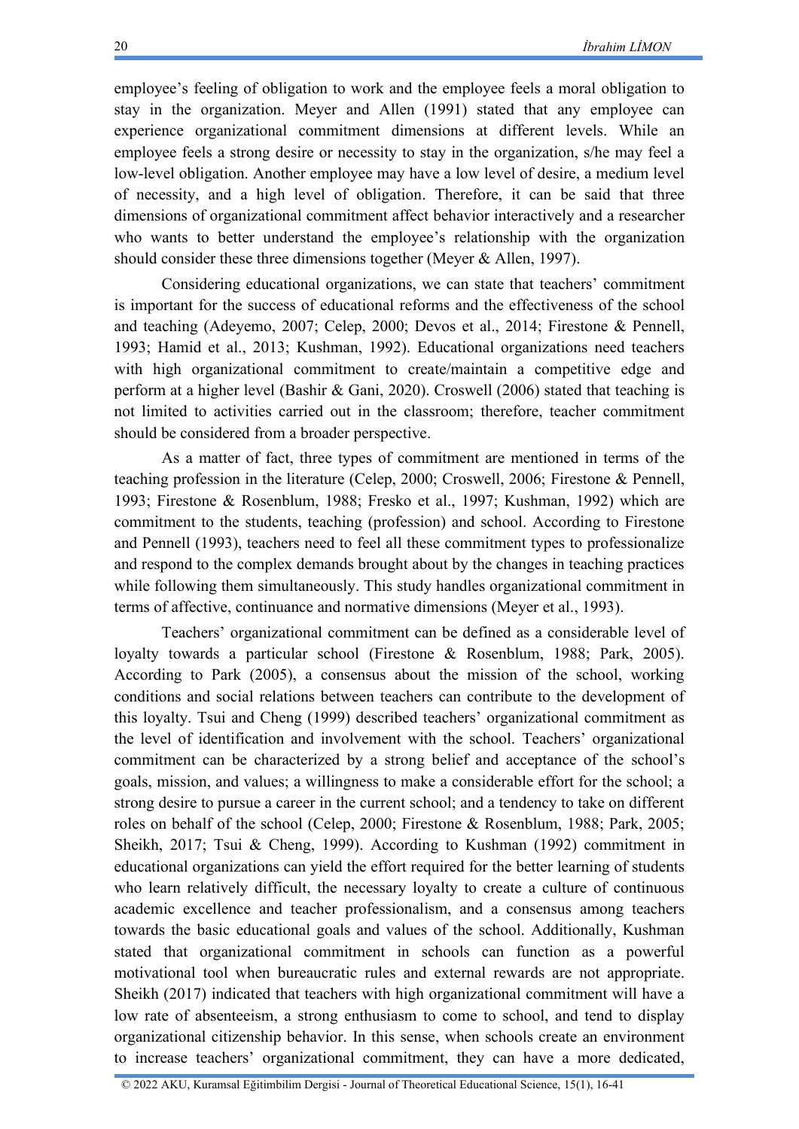employee's feeling of obligation to work and the employee feels a moral obligation to stay in the organization. Meyer and Allen (1991) stated that any employee can experience organizational commitment dimensions at different levels. While an employee feels a strong desire or necessity to stay in the organization, s/he may feel a low-level obligation. Another employee may have a low level of desire, a medium level of necessity, and a high level of obligation. Therefore, it can be said that three dimensions of organizational commitment affect behavior interactively and a researcher who wants to better understand the employee's relationship with the organization should consider these three dimensions together (Meyer & Allen, 1997).

Considering educational organizations, we can state that teachers' commitment is important for the success of educational reforms and the effectiveness of the school and teaching (Adeyemo, 2007; Celep, 2000; Devos et al., 2014; Firestone & Pennell, 1993; Hamid et al., 2013; Kushman, 1992). Educational organizations need teachers with high organizational commitment to create/maintain a competitive edge and perform at a higher level (Bashir & Gani, 2020). Croswell (2006) stated that teaching is not limited to activities carried out in the classroom; therefore, teacher commitment should be considered from a broader perspective.

As a matter of fact, three types of commitment are mentioned in terms of the teaching profession in the literature (Celep, 2000; Croswell, 2006; Firestone & Pennell, 1993; Firestone & Rosenblum, 1988; Fresko et al., 1997; Kushman, 1992) which are commitment to the students, teaching (profession) and school. According to Firestone and Pennell (1993), teachers need to feel all these commitment types to professionalize and respond to the complex demands brought about by the changes in teaching practices while following them simultaneously. This study handles organizational commitment in terms of affective, continuance and normative dimensions (Meyer et al., 1993).

Teachers' organizational commitment can be defined as a considerable level of loyalty towards a particular school (Firestone & Rosenblum, 1988; Park, 2005). According to Park (2005), a consensus about the mission of the school, working conditions and social relations between teachers can contribute to the development of this loyalty. Tsui and Cheng (1999) described teachers' organizational commitment as the level of identification and involvement with the school. Teachers' organizational commitment can be characterized by a strong belief and acceptance of the school's goals, mission, and values; a willingness to make a considerable effort for the school; a strong desire to pursue a career in the current school; and a tendency to take on different roles on behalf of the school (Celep, 2000; Firestone & Rosenblum, 1988; Park, 2005; Sheikh, 2017; Tsui & Cheng, 1999). According to Kushman (1992) commitment in educational organizations can yield the effort required for the better learning of students who learn relatively difficult, the necessary loyalty to create a culture of continuous academic excellence and teacher professionalism, and a consensus among teachers towards the basic educational goals and values of the school. Additionally, Kushman stated that organizational commitment in schools can function as a powerful motivational tool when bureaucratic rules and external rewards are not appropriate. Sheikh (2017) indicated that teachers with high organizational commitment will have a low rate of absenteeism, a strong enthusiasm to come to school, and tend to display organizational citizenship behavior. In this sense, when schools create an environment to increase teachers' organizational commitment, they can have a more dedicated,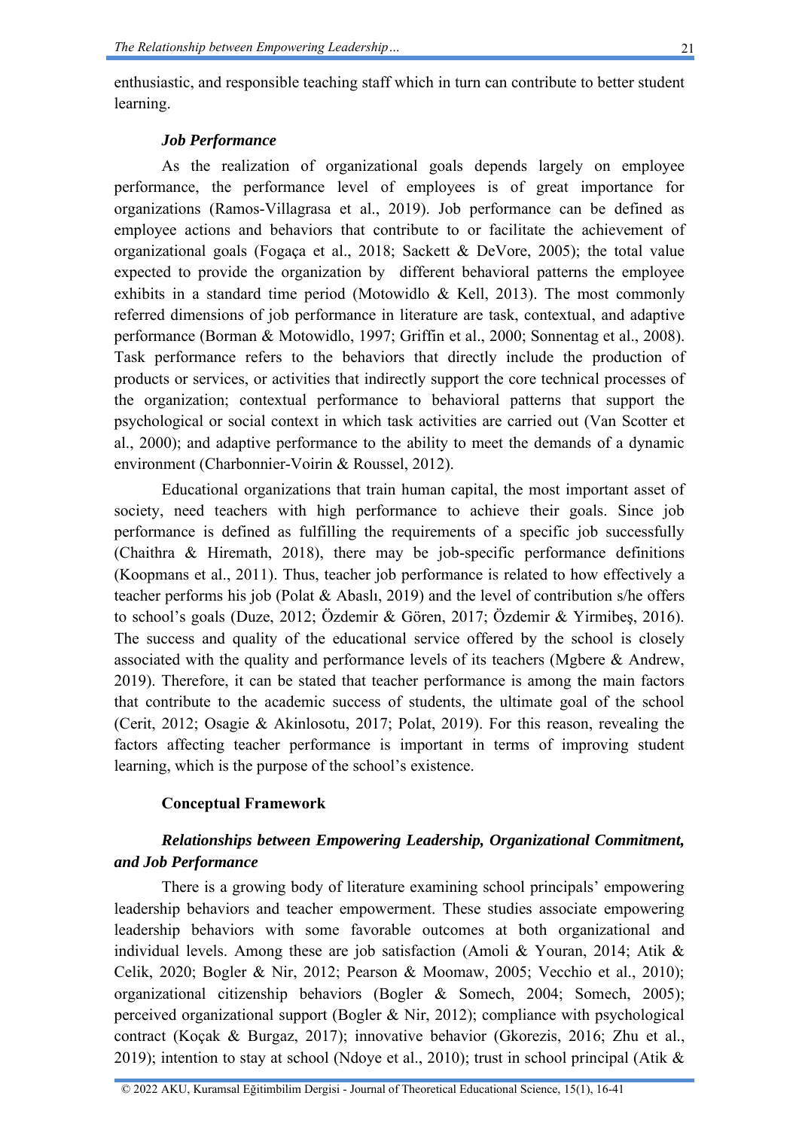enthusiastic, and responsible teaching staff which in turn can contribute to better student learning.

#### *Job Performance*

As the realization of organizational goals depends largely on employee performance, the performance level of employees is of great importance for organizations (Ramos-Villagrasa et al., 2019). Job performance can be defined as employee actions and behaviors that contribute to or facilitate the achievement of organizational goals (Fogaça et al., 2018; Sackett & DeVore, 2005); the total value expected to provide the organization by different behavioral patterns the employee exhibits in a standard time period (Motowidlo  $\&$  Kell, 2013). The most commonly referred dimensions of job performance in literature are task, contextual, and adaptive performance (Borman & Motowidlo, 1997; Griffin et al., 2000; Sonnentag et al., 2008). Task performance refers to the behaviors that directly include the production of products or services, or activities that indirectly support the core technical processes of the organization; contextual performance to behavioral patterns that support the psychological or social context in which task activities are carried out (Van Scotter et al., 2000); and adaptive performance to the ability to meet the demands of a dynamic environment (Charbonnier-Voirin & Roussel, 2012).

Educational organizations that train human capital, the most important asset of society, need teachers with high performance to achieve their goals. Since job performance is defined as fulfilling the requirements of a specific job successfully (Chaithra & Hiremath, 2018), there may be job-specific performance definitions (Koopmans et al., 2011). Thus, teacher job performance is related to how effectively a teacher performs his job (Polat & Abaslı, 2019) and the level of contribution s/he offers to school's goals (Duze, 2012; Özdemir & Gören, 2017; Özdemir & Yirmibeş, 2016). The success and quality of the educational service offered by the school is closely associated with the quality and performance levels of its teachers (Mgbere & Andrew, 2019). Therefore, it can be stated that teacher performance is among the main factors that contribute to the academic success of students, the ultimate goal of the school (Cerit, 2012; Osagie & Akinlosotu, 2017; Polat, 2019). For this reason, revealing the factors affecting teacher performance is important in terms of improving student learning, which is the purpose of the school's existence.

#### **Conceptual Framework**

## *Relationships between Empowering Leadership, Organizational Commitment, and Job Performance*

There is a growing body of literature examining school principals' empowering leadership behaviors and teacher empowerment. These studies associate empowering leadership behaviors with some favorable outcomes at both organizational and individual levels. Among these are job satisfaction (Amoli & Youran, 2014; Atik & Celik, 2020; Bogler & Nir, 2012; Pearson & Moomaw, 2005; Vecchio et al., 2010); organizational citizenship behaviors (Bogler & Somech, 2004; Somech, 2005); perceived organizational support (Bogler & Nir, 2012); compliance with psychological contract (Koçak & Burgaz, 2017); innovative behavior (Gkorezis, 2016; Zhu et al., 2019); intention to stay at school (Ndoye et al., 2010); trust in school principal (Atik &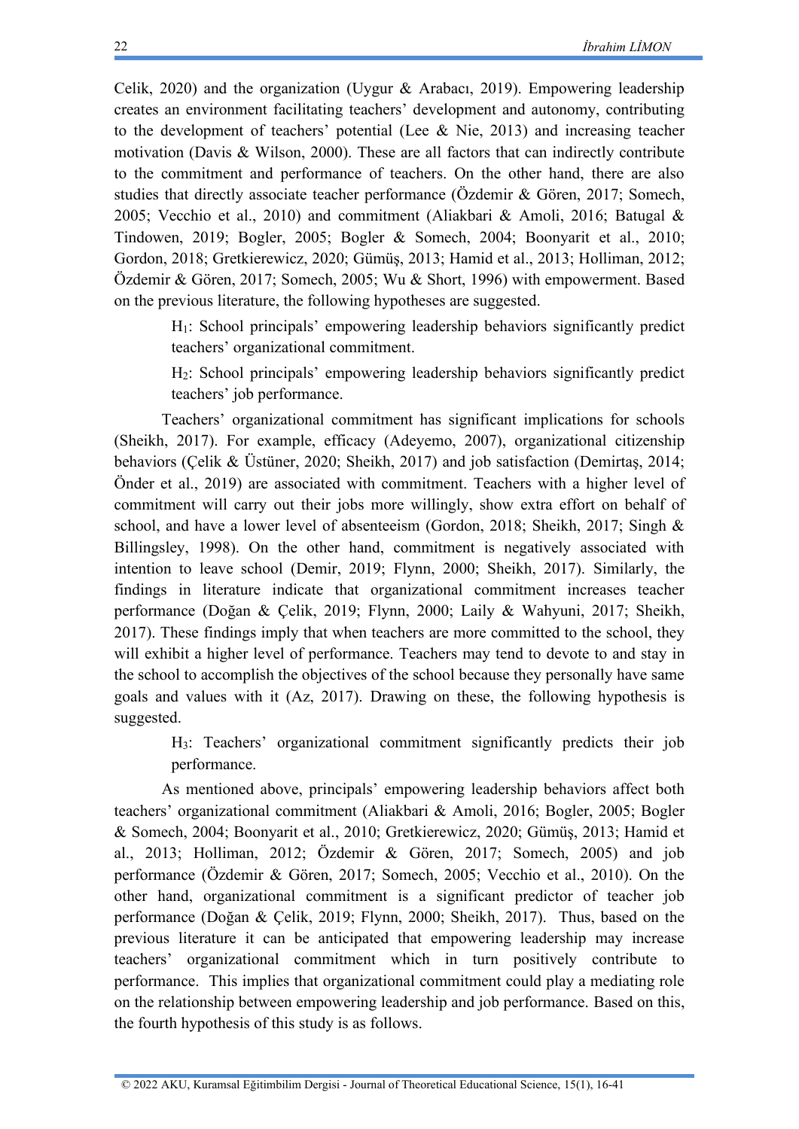Celik, 2020) and the organization (Uygur & Arabacı, 2019). Empowering leadership creates an environment facilitating teachers' development and autonomy, contributing to the development of teachers' potential (Lee & Nie, 2013) and increasing teacher motivation (Davis & Wilson, 2000). These are all factors that can indirectly contribute to the commitment and performance of teachers. On the other hand, there are also studies that directly associate teacher performance (Özdemir & Gören, 2017; Somech, 2005; Vecchio et al., 2010) and commitment (Aliakbari & Amoli, 2016; Batugal & Tindowen, 2019; Bogler, 2005; Bogler & Somech, 2004; Boonyarit et al., 2010; Gordon, 2018; Gretkierewicz, 2020; Gümüş, 2013; Hamid et al., 2013; Holliman, 2012; Özdemir & Gören, 2017; Somech, 2005; Wu & Short, 1996) with empowerment. Based on the previous literature, the following hypotheses are suggested.

H1: School principals' empowering leadership behaviors significantly predict teachers' organizational commitment.

H2: School principals' empowering leadership behaviors significantly predict teachers' job performance.

Teachers' organizational commitment has significant implications for schools (Sheikh, 2017). For example, efficacy (Adeyemo, 2007), organizational citizenship behaviors (Çelik & Üstüner, 2020; Sheikh, 2017) and job satisfaction (Demirtaş, 2014; Önder et al., 2019) are associated with commitment. Teachers with a higher level of commitment will carry out their jobs more willingly, show extra effort on behalf of school, and have a lower level of absenteeism (Gordon, 2018; Sheikh, 2017; Singh & Billingsley, 1998). On the other hand, commitment is negatively associated with intention to leave school (Demir, 2019; Flynn, 2000; Sheikh, 2017). Similarly, the findings in literature indicate that organizational commitment increases teacher performance (Doğan & Çelik, 2019; Flynn, 2000; Laily & Wahyuni, 2017; Sheikh, 2017). These findings imply that when teachers are more committed to the school, they will exhibit a higher level of performance. Teachers may tend to devote to and stay in the school to accomplish the objectives of the school because they personally have same goals and values with it (Az, 2017). Drawing on these, the following hypothesis is suggested.

H3: Teachers' organizational commitment significantly predicts their job performance.

As mentioned above, principals' empowering leadership behaviors affect both teachers' organizational commitment (Aliakbari & Amoli, 2016; Bogler, 2005; Bogler & Somech, 2004; Boonyarit et al., 2010; Gretkierewicz, 2020; Gümüş, 2013; Hamid et al., 2013; Holliman, 2012; Özdemir & Gören, 2017; Somech, 2005) and job performance (Özdemir & Gören, 2017; Somech, 2005; Vecchio et al., 2010). On the other hand, organizational commitment is a significant predictor of teacher job performance (Doğan & Çelik, 2019; Flynn, 2000; Sheikh, 2017). Thus, based on the previous literature it can be anticipated that empowering leadership may increase teachers' organizational commitment which in turn positively contribute to performance. This implies that organizational commitment could play a mediating role on the relationship between empowering leadership and job performance. Based on this, the fourth hypothesis of this study is as follows.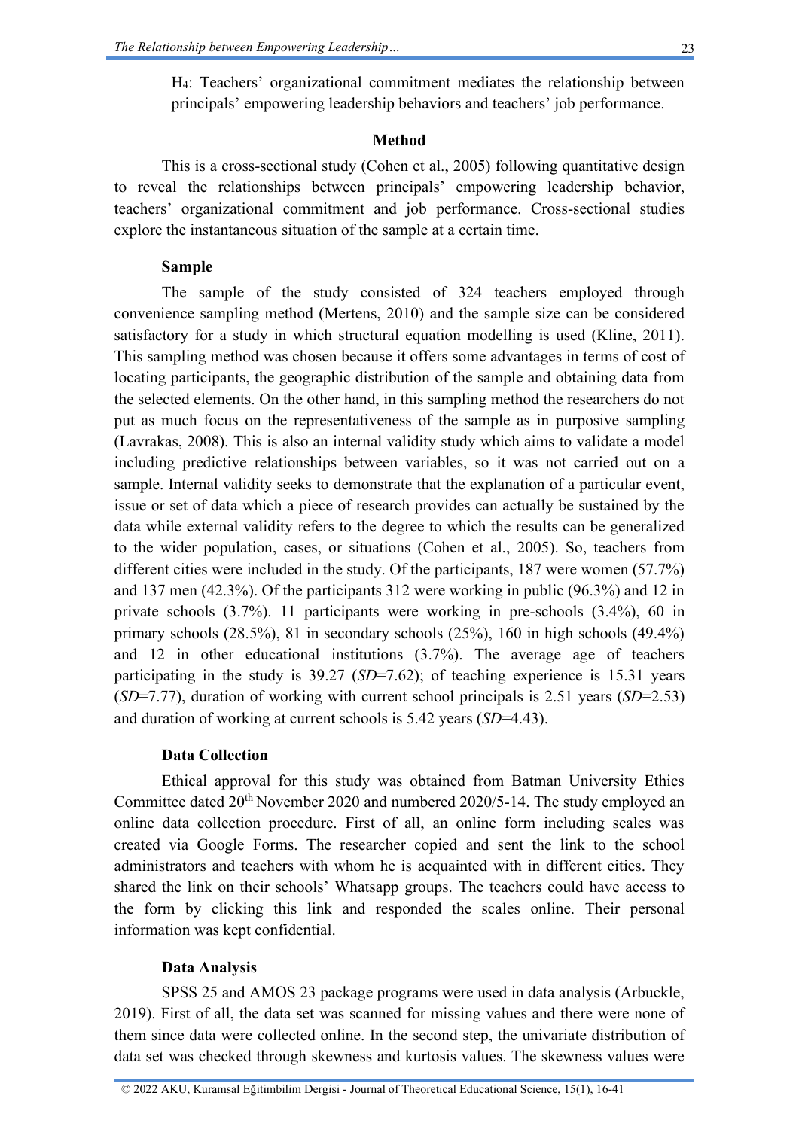### **Method**

This is a cross-sectional study (Cohen et al., 2005) following quantitative design to reveal the relationships between principals' empowering leadership behavior, teachers' organizational commitment and job performance. Cross-sectional studies explore the instantaneous situation of the sample at a certain time.

## **Sample**

The sample of the study consisted of 324 teachers employed through convenience sampling method (Mertens, 2010) and the sample size can be considered satisfactory for a study in which structural equation modelling is used (Kline, 2011). This sampling method was chosen because it offers some advantages in terms of cost of locating participants, the geographic distribution of the sample and obtaining data from the selected elements. On the other hand, in this sampling method the researchers do not put as much focus on the representativeness of the sample as in purposive sampling (Lavrakas, 2008). This is also an internal validity study which aims to validate a model including predictive relationships between variables, so it was not carried out on a sample. Internal validity seeks to demonstrate that the explanation of a particular event, issue or set of data which a piece of research provides can actually be sustained by the data while external validity refers to the degree to which the results can be generalized to the wider population, cases, or situations (Cohen et al., 2005). So, teachers from different cities were included in the study. Of the participants, 187 were women (57.7%) and 137 men (42.3%). Of the participants 312 were working in public (96.3%) and 12 in private schools (3.7%). 11 participants were working in pre-schools (3.4%), 60 in primary schools (28.5%), 81 in secondary schools (25%), 160 in high schools (49.4%) and 12 in other educational institutions (3.7%). The average age of teachers participating in the study is 39.27 (*SD*=7.62); of teaching experience is 15.31 years (*SD*=7.77), duration of working with current school principals is 2.51 years (*SD*=2.53) and duration of working at current schools is 5.42 years (*SD*=4.43).

## **Data Collection**

Ethical approval for this study was obtained from Batman University Ethics Committee dated 20th November 2020 and numbered 2020/5-14. The study employed an online data collection procedure. First of all, an online form including scales was created via Google Forms. The researcher copied and sent the link to the school administrators and teachers with whom he is acquainted with in different cities. They shared the link on their schools' Whatsapp groups. The teachers could have access to the form by clicking this link and responded the scales online. Their personal information was kept confidential.

## **Data Analysis**

SPSS 25 and AMOS 23 package programs were used in data analysis (Arbuckle, 2019). First of all, the data set was scanned for missing values and there were none of them since data were collected online. In the second step, the univariate distribution of data set was checked through skewness and kurtosis values. The skewness values were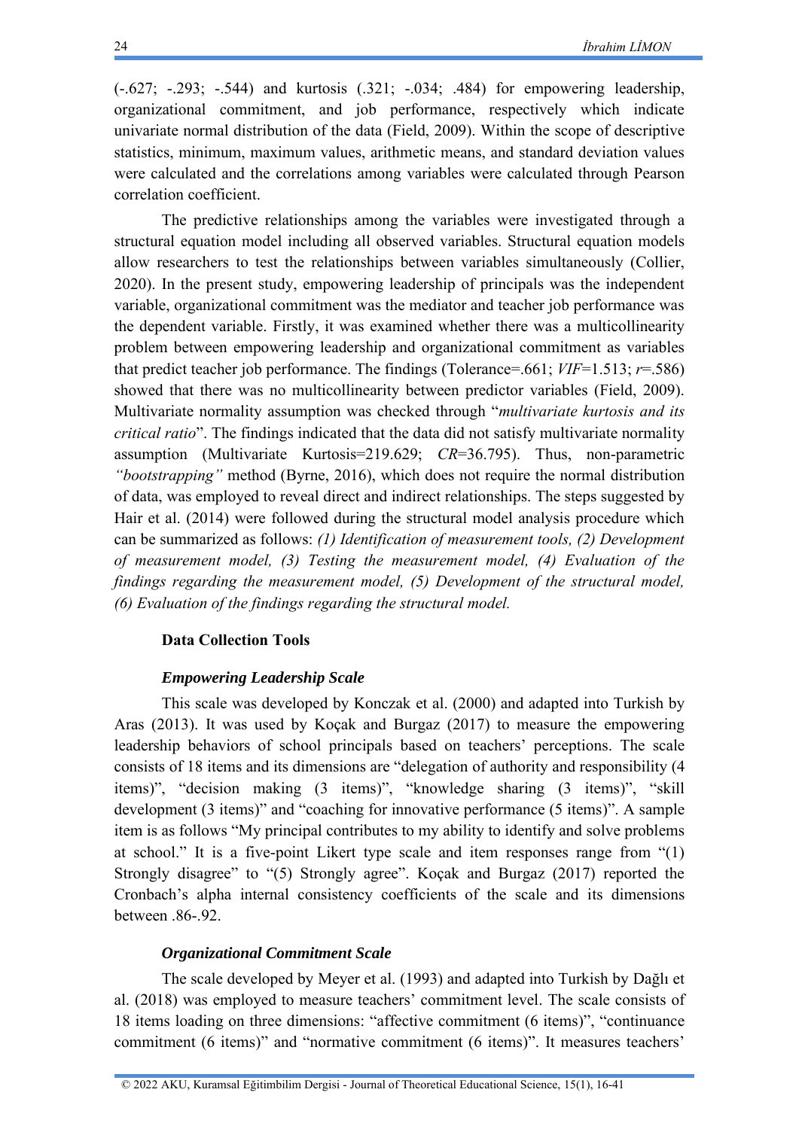(-.627; -.293; -.544) and kurtosis (.321; -.034; .484) for empowering leadership, organizational commitment, and job performance, respectively which indicate univariate normal distribution of the data (Field, 2009). Within the scope of descriptive statistics, minimum, maximum values, arithmetic means, and standard deviation values were calculated and the correlations among variables were calculated through Pearson correlation coefficient.

The predictive relationships among the variables were investigated through a structural equation model including all observed variables. Structural equation models allow researchers to test the relationships between variables simultaneously (Collier, 2020). In the present study, empowering leadership of principals was the independent variable, organizational commitment was the mediator and teacher job performance was the dependent variable. Firstly, it was examined whether there was a multicollinearity problem between empowering leadership and organizational commitment as variables that predict teacher job performance. The findings (Tolerance=.661;  $VIF=1.513$ ;  $r=.586$ ) showed that there was no multicollinearity between predictor variables (Field, 2009). Multivariate normality assumption was checked through "*multivariate kurtosis and its critical ratio*". The findings indicated that the data did not satisfy multivariate normality assumption (Multivariate Kurtosis=219.629; *CR*=36.795). Thus, non-parametric *"bootstrapping"* method (Byrne, 2016), which does not require the normal distribution of data, was employed to reveal direct and indirect relationships. The steps suggested by Hair et al. (2014) were followed during the structural model analysis procedure which can be summarized as follows: *(1) Identification of measurement tools, (2) Development of measurement model, (3) Testing the measurement model, (4) Evaluation of the findings regarding the measurement model, (5) Development of the structural model, (6) Evaluation of the findings regarding the structural model.*

#### **Data Collection Tools**

#### *Empowering Leadership Scale*

This scale was developed by Konczak et al. (2000) and adapted into Turkish by Aras (2013). It was used by Koçak and Burgaz (2017) to measure the empowering leadership behaviors of school principals based on teachers' perceptions. The scale consists of 18 items and its dimensions are "delegation of authority and responsibility (4 items)", "decision making (3 items)", "knowledge sharing (3 items)", "skill development (3 items)" and "coaching for innovative performance (5 items)". A sample item is as follows "My principal contributes to my ability to identify and solve problems at school." It is a five-point Likert type scale and item responses range from "(1) Strongly disagree" to "(5) Strongly agree". Koçak and Burgaz (2017) reported the Cronbach's alpha internal consistency coefficients of the scale and its dimensions between .86-.92.

#### *Organizational Commitment Scale*

The scale developed by Meyer et al. (1993) and adapted into Turkish by Dağlı et al. (2018) was employed to measure teachers' commitment level. The scale consists of 18 items loading on three dimensions: "affective commitment (6 items)", "continuance commitment (6 items)" and "normative commitment (6 items)". It measures teachers'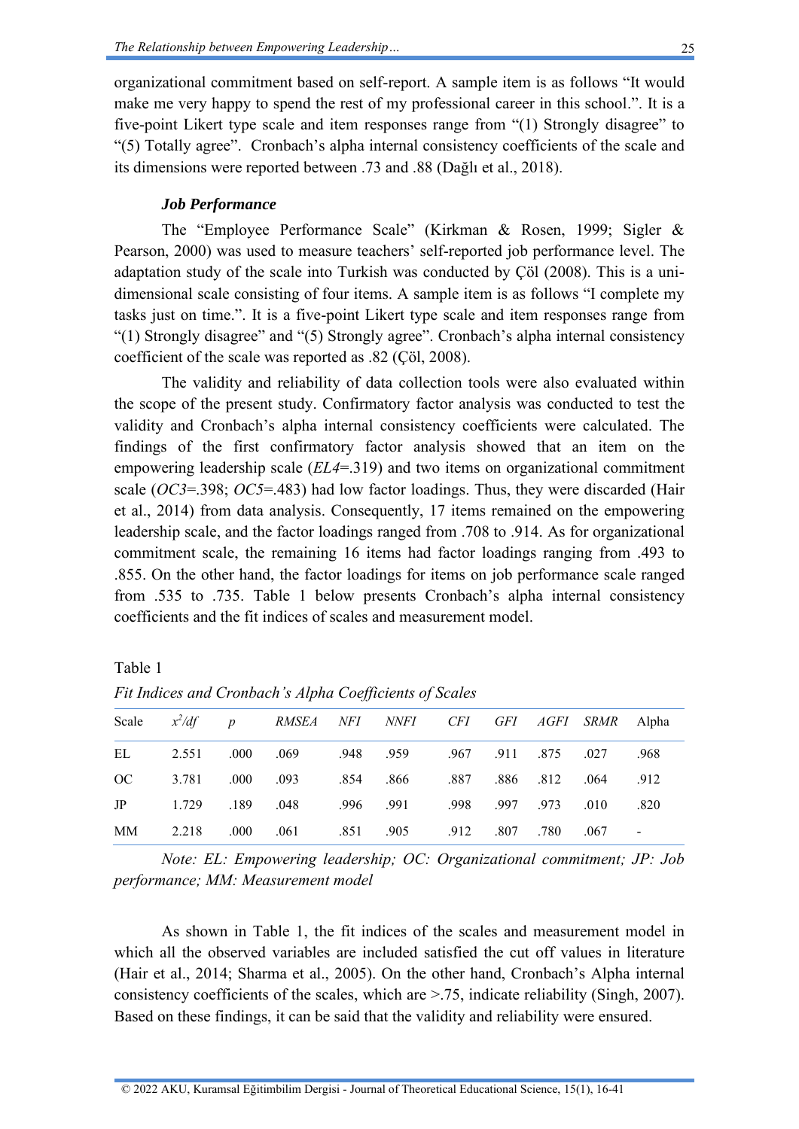organizational commitment based on self-report. A sample item is as follows "It would make me very happy to spend the rest of my professional career in this school.". It is a five-point Likert type scale and item responses range from "(1) Strongly disagree" to "(5) Totally agree". Cronbach's alpha internal consistency coefficients of the scale and its dimensions were reported between .73 and .88 (Dağlı et al., 2018).

#### *Job Performance*

The "Employee Performance Scale" (Kirkman & Rosen, 1999; Sigler & Pearson, 2000) was used to measure teachers' self-reported job performance level. The adaptation study of the scale into Turkish was conducted by Çöl (2008). This is a unidimensional scale consisting of four items. A sample item is as follows "I complete my tasks just on time.". It is a five-point Likert type scale and item responses range from "(1) Strongly disagree" and "(5) Strongly agree". Cronbach's alpha internal consistency coefficient of the scale was reported as .82 (Çöl, 2008).

The validity and reliability of data collection tools were also evaluated within the scope of the present study. Confirmatory factor analysis was conducted to test the validity and Cronbach's alpha internal consistency coefficients were calculated. The findings of the first confirmatory factor analysis showed that an item on the empowering leadership scale (*EL4*=.319) and two items on organizational commitment scale (*OC3*=.398; *OC5*=.483) had low factor loadings. Thus, they were discarded (Hair et al., 2014) from data analysis. Consequently, 17 items remained on the empowering leadership scale, and the factor loadings ranged from .708 to .914. As for organizational commitment scale, the remaining 16 items had factor loadings ranging from .493 to .855. On the other hand, the factor loadings for items on job performance scale ranged from .535 to .735. Table 1 below presents Cronbach's alpha internal consistency coefficients and the fit indices of scales and measurement model.

| ani |
|-----|
|-----|

|    |               |                 | Scale $x^2/df$ p RMSEA NFI NNFI CFI GFI AGFI SRMR Alpha |                                   |           |                     |      |      |
|----|---------------|-----------------|---------------------------------------------------------|-----------------------------------|-----------|---------------------|------|------|
| EL |               |                 | 2.551 .000 .069 .948 .959 .967 .911 .875 .027           |                                   |           |                     |      | .968 |
| OC |               | 3.781 .000 .093 |                                                         | .854 .866 .87 .886 .812 .064 .912 |           |                     |      |      |
| JP | 1.729 189     |                 | .048                                                    | .996 .991                         |           | .998 .997 .973 .010 |      | .820 |
|    | MM 2.218 .000 |                 | .061 .851 .905                                          |                                   | .912 .807 | .780                | .067 |      |

*Fit Indices and Cronbach's Alpha Coefficients of Scales*

*Note: EL: Empowering leadership; OC: Organizational commitment; JP: Job performance; MM: Measurement model*

As shown in Table 1, the fit indices of the scales and measurement model in which all the observed variables are included satisfied the cut off values in literature (Hair et al., 2014; Sharma et al., 2005). On the other hand, Cronbach's Alpha internal consistency coefficients of the scales, which are >.75, indicate reliability (Singh, 2007). Based on these findings, it can be said that the validity and reliability were ensured.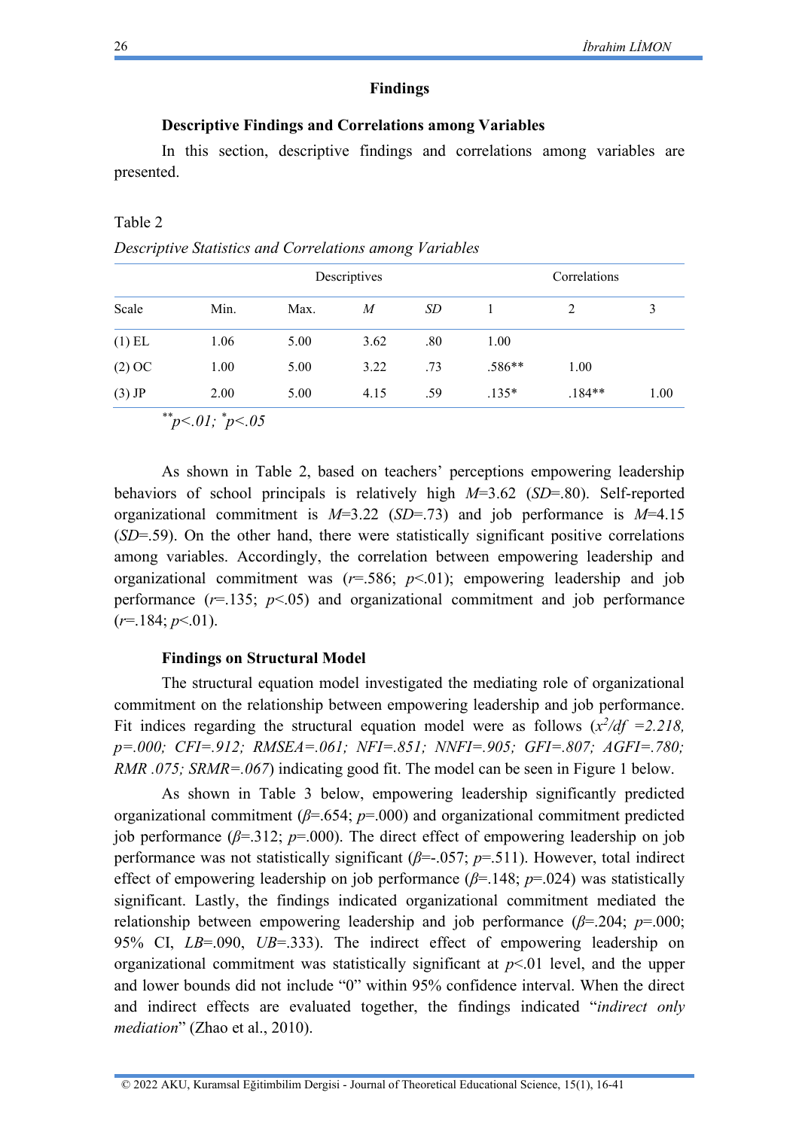#### **Findings**

## **Descriptive Findings and Correlations among Variables**

In this section, descriptive findings and correlations among variables are presented.

## *Descriptive Statistics and Correlations among Variables*

|          |      |      | Descriptives | Correlations |          |          |      |
|----------|------|------|--------------|--------------|----------|----------|------|
| Scale    | Min. | Max. | M            | SD           |          | 2        | 3    |
| $(1)$ EL | 1.06 | 5.00 | 3.62         | .80          | 1.00     |          |      |
| $(2)$ OC | 1.00 | 5.00 | 3.22         | .73          | $.586**$ | 1.00     |      |
| $(3)$ JP | 2.00 | 5.00 | 4.15         | .59          | $.135*$  | $.184**$ | 1.00 |

*\*\*p<.01; \* p<.05*

As shown in Table 2, based on teachers' perceptions empowering leadership behaviors of school principals is relatively high *M*=3.62 (*SD*=.80). Self-reported organizational commitment is *M*=3.22 (*SD*=.73) and job performance is *M*=4.15 (*SD*=.59). On the other hand, there were statistically significant positive correlations among variables. Accordingly, the correlation between empowering leadership and organizational commitment was  $(r=.586; p<.01)$ ; empowering leadership and job performance  $(r=135; p<0.05)$  and organizational commitment and job performance  $(r=184; p<.01)$ .

#### **Findings on Structural Model**

The structural equation model investigated the mediating role of organizational commitment on the relationship between empowering leadership and job performance. Fit indices regarding the structural equation model were as follows  $(x^2/df = 2.218$ , *p=.000; CFI=.912; RMSEA=.061; NFI=.851; NNFI=.905; GFI=.807; AGFI=.780; RMR .075; SRMR=.067*) indicating good fit. The model can be seen in Figure 1 below.

As shown in Table 3 below, empowering leadership significantly predicted organizational commitment (*β*=.654; *p*=.000) and organizational commitment predicted job performance ( $\beta$ =.312;  $p$ =.000). The direct effect of empowering leadership on job performance was not statistically significant (*β*=-.057; *p*=.511). However, total indirect effect of empowering leadership on job performance (*β*=.148; *p*=.024) was statistically significant. Lastly, the findings indicated organizational commitment mediated the relationship between empowering leadership and job performance  $(\beta = 204; p = 000;$ 95% CI, *LB*=.090, *UB*=.333). The indirect effect of empowering leadership on organizational commitment was statistically significant at  $p<0$  level, and the upper and lower bounds did not include "0" within 95% confidence interval. When the direct and indirect effects are evaluated together, the findings indicated "*indirect only mediation*" (Zhao et al., 2010).

Table 2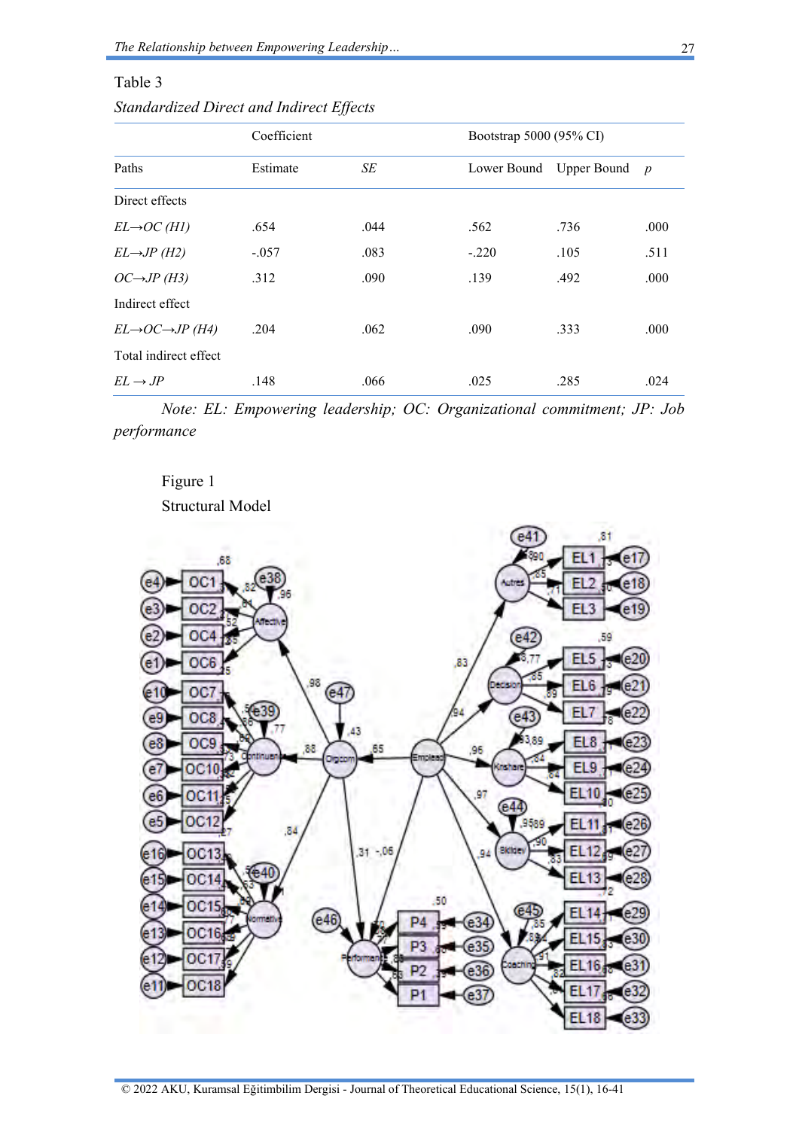## Table 3

|                                         | Coefficient |      |             | Bootstrap 5000 (95% CI) |                  |  |  |
|-----------------------------------------|-------------|------|-------------|-------------------------|------------------|--|--|
| Paths                                   | Estimate    | SE   | Lower Bound | Upper Bound             | $\boldsymbol{p}$ |  |  |
| Direct effects                          |             |      |             |                         |                  |  |  |
| $EL\rightarrow OC(H1)$                  | .654        | .044 | .562        | .736                    | .000             |  |  |
| $EL\rightarrow JP(H2)$                  | $-.057$     | .083 | $-.220$     | .105                    | .511             |  |  |
| $OC\rightarrow JP(H3)$                  | .312        | .090 | .139        | .492                    | .000             |  |  |
| Indirect effect                         |             |      |             |                         |                  |  |  |
| $EL \rightarrow OC \rightarrow JP$ (H4) | .204        | .062 | .090        | .333                    | .000             |  |  |
| Total indirect effect                   |             |      |             |                         |                  |  |  |
| $EL \rightarrow JP$                     | .148        | .066 | .025        | .285                    | .024             |  |  |

*Note: EL: Empowering leadership; OC: Organizational commitment; JP: Job performance*

## Figure 1

Structural Model

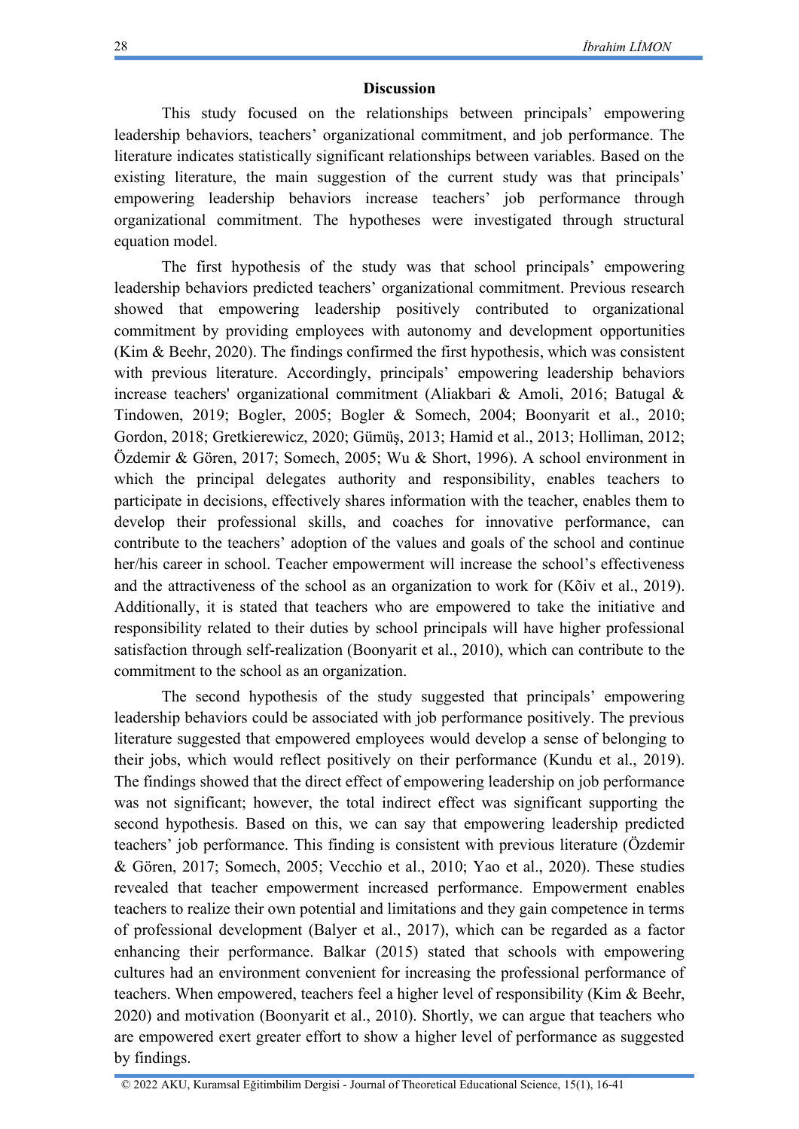#### **Discussion**

This study focused on the relationships between principals' empowering leadership behaviors, teachers' organizational commitment, and job performance. The literature indicates statistically significant relationships between variables. Based on the existing literature, the main suggestion of the current study was that principals' empowering leadership behaviors increase teachers' job performance through organizational commitment. The hypotheses were investigated through structural equation model.

The first hypothesis of the study was that school principals' empowering leadership behaviors predicted teachers' organizational commitment. Previous research showed that empowering leadership positively contributed to organizational commitment by providing employees with autonomy and development opportunities (Kim & Beehr, 2020). The findings confirmed the first hypothesis, which was consistent with previous literature. Accordingly, principals' empowering leadership behaviors increase teachers' organizational commitment (Aliakbari & Amoli, 2016; Batugal & Tindowen, 2019; Bogler, 2005; Bogler & Somech, 2004; Boonyarit et al., 2010; Gordon, 2018; Gretkierewicz, 2020; Gümüş, 2013; Hamid et al., 2013; Holliman, 2012; Özdemir & Gören, 2017; Somech, 2005; Wu & Short, 1996). A school environment in which the principal delegates authority and responsibility, enables teachers to participate in decisions, effectively shares information with the teacher, enables them to develop their professional skills, and coaches for innovative performance, can contribute to the teachers' adoption of the values and goals of the school and continue her/his career in school. Teacher empowerment will increase the school's effectiveness and the attractiveness of the school as an organization to work for (Kõiv et al., 2019). Additionally, it is stated that teachers who are empowered to take the initiative and responsibility related to their duties by school principals will have higher professional satisfaction through self-realization (Boonyarit et al., 2010), which can contribute to the commitment to the school as an organization.

The second hypothesis of the study suggested that principals' empowering leadership behaviors could be associated with job performance positively. The previous literature suggested that empowered employees would develop a sense of belonging to their jobs, which would reflect positively on their performance (Kundu et al., 2019). The findings showed that the direct effect of empowering leadership on job performance was not significant; however, the total indirect effect was significant supporting the second hypothesis. Based on this, we can say that empowering leadership predicted teachers' job performance. This finding is consistent with previous literature (Özdemir & Gören, 2017; Somech, 2005; Vecchio et al., 2010; Yao et al., 2020). These studies revealed that teacher empowerment increased performance. Empowerment enables teachers to realize their own potential and limitations and they gain competence in terms of professional development (Balyer et al., 2017), which can be regarded as a factor enhancing their performance. Balkar (2015) stated that schools with empowering cultures had an environment convenient for increasing the professional performance of teachers. When empowered, teachers feel a higher level of responsibility (Kim & Beehr, 2020) and motivation (Boonyarit et al., 2010). Shortly, we can argue that teachers who are empowered exert greater effort to show a higher level of performance as suggested by findings.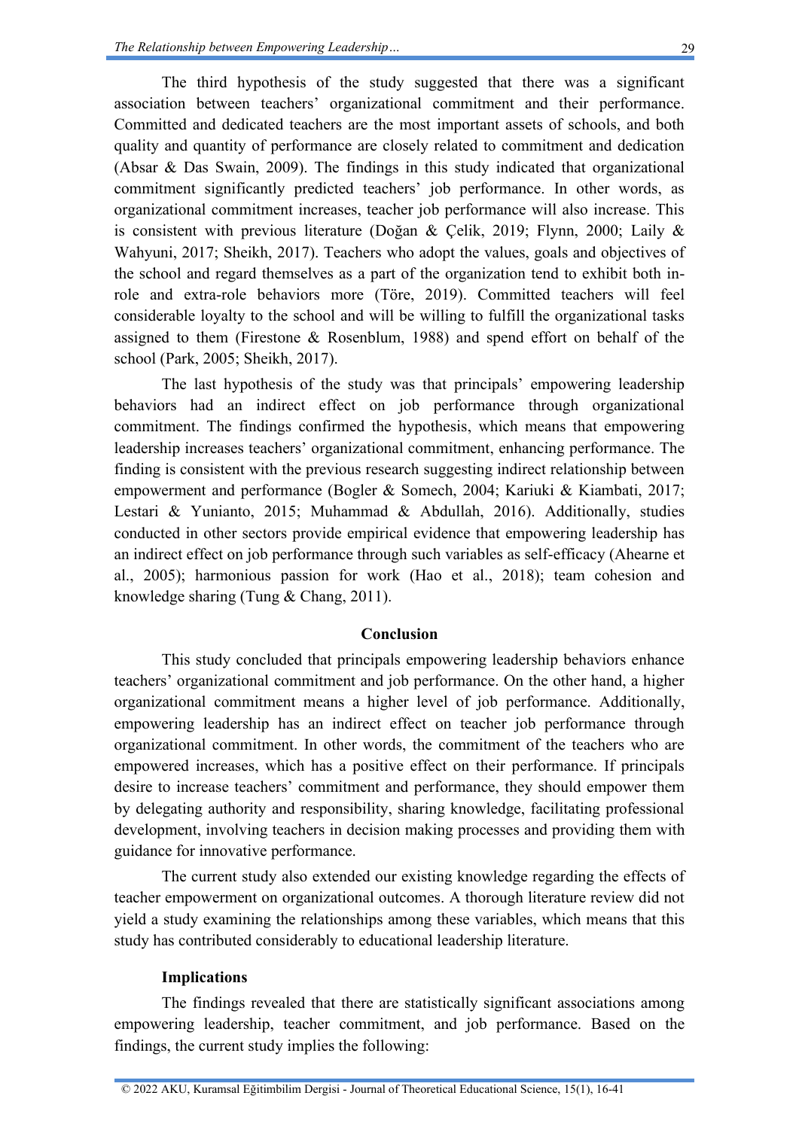The third hypothesis of the study suggested that there was a significant association between teachers' organizational commitment and their performance. Committed and dedicated teachers are the most important assets of schools, and both quality and quantity of performance are closely related to commitment and dedication (Absar & Das Swain, 2009). The findings in this study indicated that organizational commitment significantly predicted teachers' job performance. In other words, as organizational commitment increases, teacher job performance will also increase. This is consistent with previous literature (Doğan & Çelik, 2019; Flynn, 2000; Laily & Wahyuni, 2017; Sheikh, 2017). Teachers who adopt the values, goals and objectives of the school and regard themselves as a part of the organization tend to exhibit both inrole and extra-role behaviors more (Töre, 2019). Committed teachers will feel considerable loyalty to the school and will be willing to fulfill the organizational tasks assigned to them (Firestone & Rosenblum, 1988) and spend effort on behalf of the school (Park, 2005; Sheikh, 2017).

The last hypothesis of the study was that principals' empowering leadership behaviors had an indirect effect on job performance through organizational commitment. The findings confirmed the hypothesis, which means that empowering leadership increases teachers' organizational commitment, enhancing performance. The finding is consistent with the previous research suggesting indirect relationship between empowerment and performance (Bogler & Somech, 2004; Kariuki & Kiambati, 2017; Lestari & Yunianto, 2015; Muhammad & Abdullah, 2016). Additionally, studies conducted in other sectors provide empirical evidence that empowering leadership has an indirect effect on job performance through such variables as self-efficacy (Ahearne et al., 2005); harmonious passion for work (Hao et al., 2018); team cohesion and knowledge sharing (Tung & Chang, 2011).

### **Conclusion**

This study concluded that principals empowering leadership behaviors enhance teachers' organizational commitment and job performance. On the other hand, a higher organizational commitment means a higher level of job performance. Additionally, empowering leadership has an indirect effect on teacher job performance through organizational commitment. In other words, the commitment of the teachers who are empowered increases, which has a positive effect on their performance. If principals desire to increase teachers' commitment and performance, they should empower them by delegating authority and responsibility, sharing knowledge, facilitating professional development, involving teachers in decision making processes and providing them with guidance for innovative performance.

The current study also extended our existing knowledge regarding the effects of teacher empowerment on organizational outcomes. A thorough literature review did not yield a study examining the relationships among these variables, which means that this study has contributed considerably to educational leadership literature.

#### **Implications**

The findings revealed that there are statistically significant associations among empowering leadership, teacher commitment, and job performance. Based on the findings, the current study implies the following: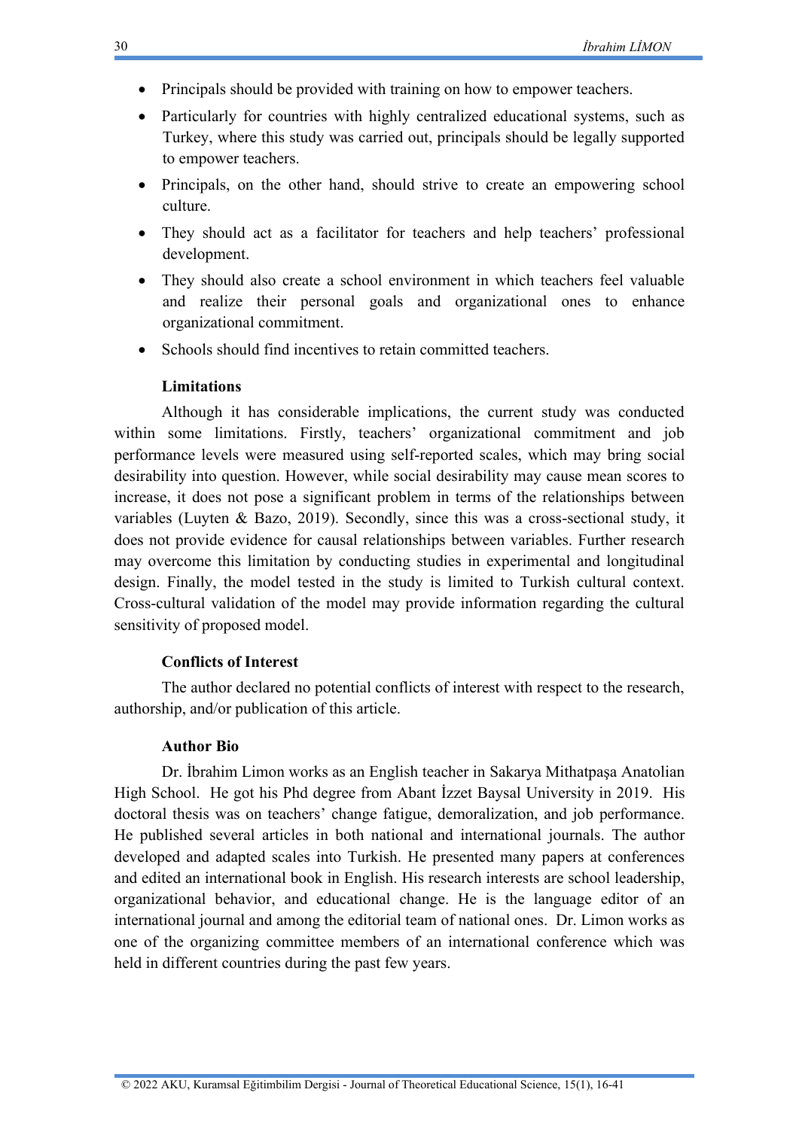- Principals should be provided with training on how to empower teachers.
- Particularly for countries with highly centralized educational systems, such as Turkey, where this study was carried out, principals should be legally supported to empower teachers.
- Principals, on the other hand, should strive to create an empowering school culture.
- They should act as a facilitator for teachers and help teachers' professional development.
- They should also create a school environment in which teachers feel valuable and realize their personal goals and organizational ones to enhance organizational commitment.
- Schools should find incentives to retain committed teachers.

#### **Limitations**

Although it has considerable implications, the current study was conducted within some limitations. Firstly, teachers' organizational commitment and job performance levels were measured using self-reported scales, which may bring social desirability into question. However, while social desirability may cause mean scores to increase, it does not pose a significant problem in terms of the relationships between variables (Luyten & Bazo, 2019). Secondly, since this was a cross-sectional study, it does not provide evidence for causal relationships between variables. Further research may overcome this limitation by conducting studies in experimental and longitudinal design. Finally, the model tested in the study is limited to Turkish cultural context. Cross-cultural validation of the model may provide information regarding the cultural sensitivity of proposed model.

#### **Conflicts of Interest**

The author declared no potential conflicts of interest with respect to the research, authorship, and/or publication of this article.

#### **Author Bio**

Dr. İbrahim Limon works as an English teacher in Sakarya Mithatpaşa Anatolian High School. He got his Phd degree from Abant İzzet Baysal University in 2019. His doctoral thesis was on teachers' change fatigue, demoralization, and job performance. He published several articles in both national and international journals. The author developed and adapted scales into Turkish. He presented many papers at conferences and edited an international book in English. His research interests are school leadership, organizational behavior, and educational change. He is the language editor of an international journal and among the editorial team of national ones. Dr. Limon works as one of the organizing committee members of an international conference which was held in different countries during the past few years.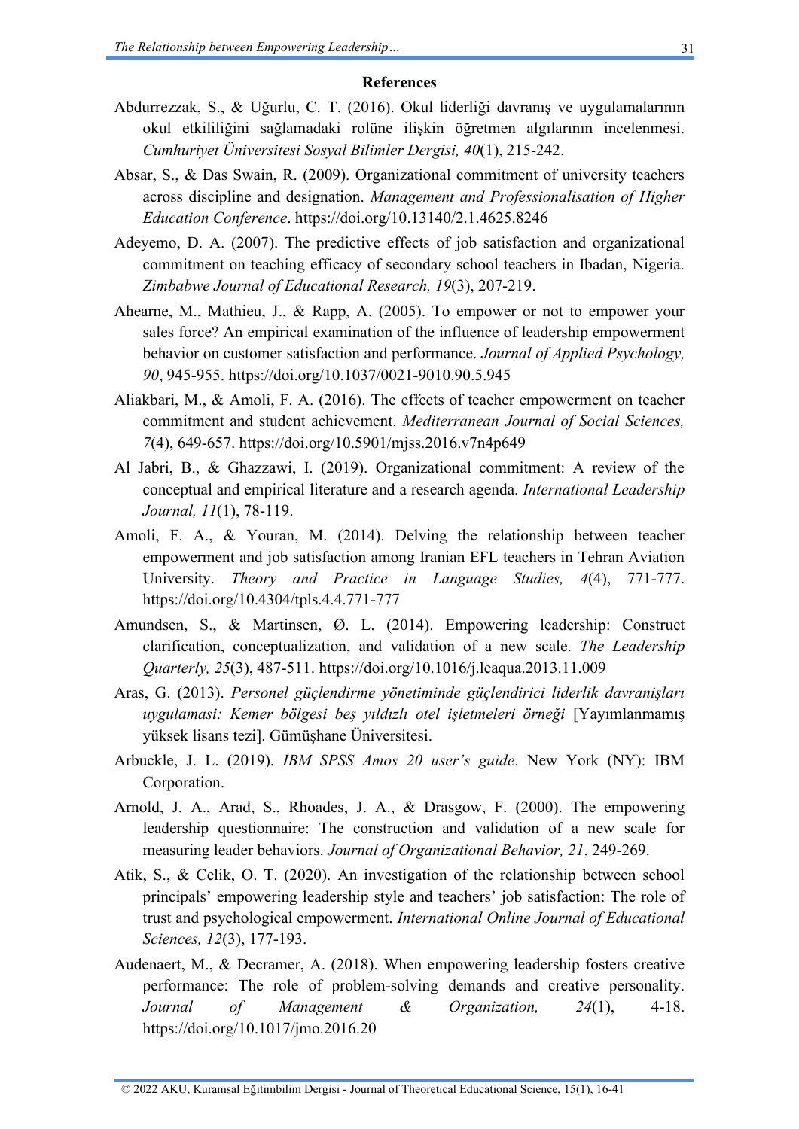#### **References**

- Abdurrezzak, S., & Uğurlu, C. T. (2016). Okul liderliği davranış ve uygulamalarının okul etkililiğini sağlamadaki rolüne ilişkin öğretmen algılarının incelenmesi. *Cumhuriyet Üniversitesi Sosyal Bilimler Dergisi, 40*(1), 215-242.
- Absar, S., & Das Swain, R. (2009). Organizational commitment of university teachers across discipline and designation. *Management and Professionalisation of Higher Education Conference*.<https://doi.org/10.13140/2.1.4625.8246>
- Adeyemo, D. A. (2007). The predictive effects of job satisfaction and organizational commitment on teaching efficacy of secondary school teachers in Ibadan, Nigeria. *Zimbabwe Journal of Educational Research, 19*(3), 207-219.
- Ahearne, M., Mathieu, J., & Rapp, A. (2005). To empower or not to empower your sales force? An empirical examination of the influence of leadership empowerment behavior on customer satisfaction and performance. *Journal of Applied Psychology, 90*, 945-955.<https://doi.org/10.1037/0021-9010.90.5.945>
- Aliakbari, M., & Amoli, F. A. (2016). The effects of teacher empowerment on teacher commitment and student achievement. *Mediterranean Journal of Social Sciences, 7*(4), 649-657.<https://doi.org/10.5901/mjss.2016.v7n4p649>
- Al Jabri, B., & Ghazzawi, I. (2019). Organizational commitment: A review of the conceptual and empirical literature and a research agenda. *International Leadership Journal, 11*(1), 78-119.
- Amoli, F. A., & Youran, M. (2014). Delving the relationship between teacher empowerment and job satisfaction among Iranian EFL teachers in Tehran Aviation University. *Theory and Practice in Language Studies, 4*(4), 771-777. <https://doi.org/10.4304/tpls.4.4.771-777>
- Amundsen, S., & Martinsen, Ø. L. (2014). Empowering leadership: Construct clarification, conceptualization, and validation of a new scale. *The Leadership Quarterly, 25*(3), 487-511.<https://doi.org/10.1016/j.leaqua.2013.11.009>
- Aras, G. (2013). *Personel güçlendirme yönetiminde güçlendirici liderlik davranişları uygulamasi: Kemer bölgesi beş yıldızlı otel işletmeleri örneği* [Yayımlanmamış yüksek lisans tezi]. Gümüşhane Üniversitesi.
- Arbuckle, J. L. (2019). *IBM SPSS Amos 20 user's guide*. New York (NY): IBM Corporation.
- Arnold, J. A., Arad, S., Rhoades, J. A., & Drasgow, F. (2000). The empowering leadership questionnaire: The construction and validation of a new scale for measuring leader behaviors. *Journal of Organizational Behavior, 21*, 249-269.
- Atik, S., & Celik, O. T. (2020). An investigation of the relationship between school principals' empowering leadership style and teachers' job satisfaction: The role of trust and psychological empowerment. *International Online Journal of Educational Sciences, 12*(3), 177-193.
- Audenaert, M., & Decramer, A. (2018). When empowering leadership fosters creative performance: The role of problem-solving demands and creative personality. *Journal of Management & Organization, 24*(1), 4-18. <https://doi.org/10.1017/jmo.2016.20>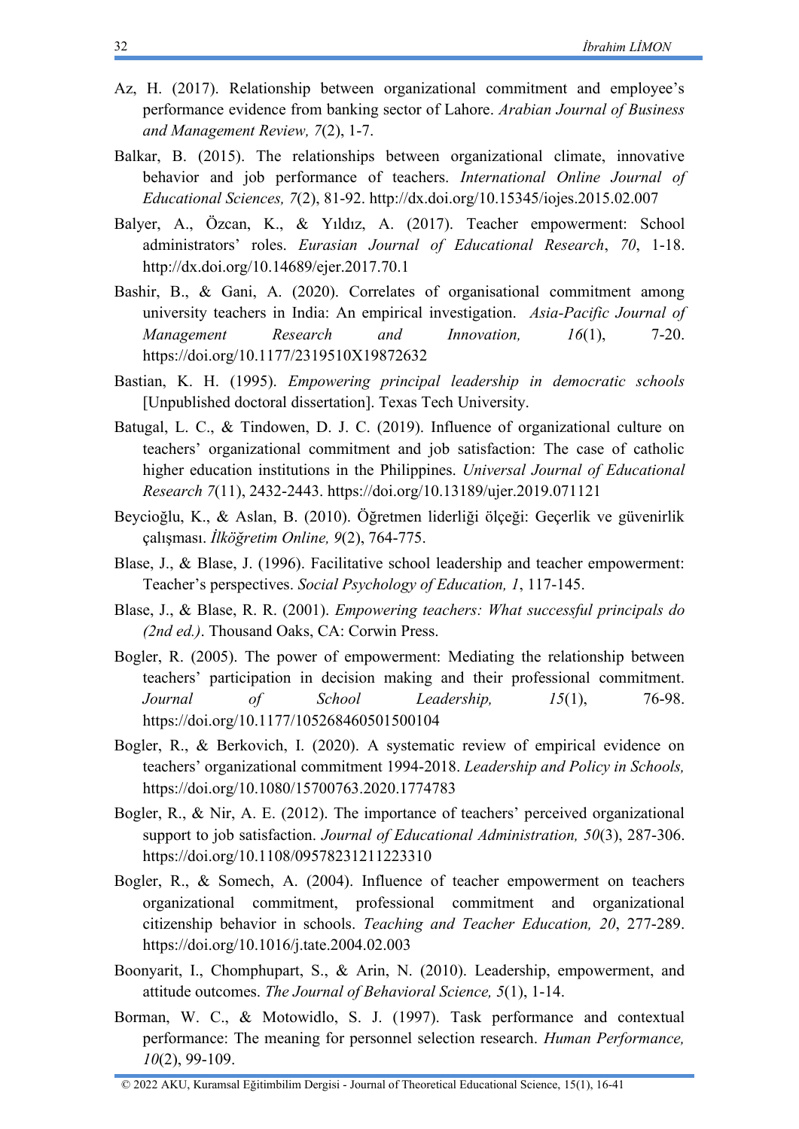- Az, H. (2017). Relationship between organizational commitment and employee's performance evidence from banking sector of Lahore. *Arabian Journal of Business and Management Review, 7*(2), 1-7.
- Balkar, B. (2015). The relationships between organizational climate, innovative behavior and job performance of teachers. *International Online Journal of Educational Sciences, 7*(2), 81-92.<http://dx.doi.org/10.15345/iojes.2015.02.007>
- Balyer, A., Özcan, K., & Yıldız, A. (2017). Teacher empowerment: School administrators' roles. *Eurasian Journal of Educational Research*, *70*, 1-18. <http://dx.doi.org/10.14689/ejer.2017.70.1>
- Bashir, B., & Gani, A. (2020). Correlates of organisational commitment among university teachers in India: An empirical investigation. *Asia-Pacific Journal of Management Research and Innovation, 16*(1), 7-20. <https://doi.org/10.1177/2319510X19872632>
- Bastian, K. H. (1995). *Empowering principal leadership in democratic schools* [Unpublished doctoral dissertation]. Texas Tech University.
- Batugal, L. C., & Tindowen, D. J. C. (2019). Influence of organizational culture on teachers' organizational commitment and job satisfaction: The case of catholic higher education institutions in the Philippines. *Universal Journal of Educational Research 7*(11), 2432-2443.<https://doi.org/10.13189/ujer.2019.071121>
- Beycioğlu, K., & Aslan, B. (2010). Öğretmen liderliği ölçeği: Geçerlik ve güvenirlik çalışması. *İlköğretim Online, 9*(2), 764-775.
- Blase, J., & Blase, J. (1996). Facilitative school leadership and teacher empowerment: Teacher's perspectives. *Social Psychology of Education, 1*, 117-145.
- Blase, J., & Blase, R. R. (2001). *Empowering teachers: What successful principals do (2nd ed.)*. Thousand Oaks, CA: Corwin Press.
- Bogler, R. (2005). The power of empowerment: Mediating the relationship between teachers' participation in decision making and their professional commitment. *Journal of School Leadership, 15*(1), 76-98. <https://doi.org/10.1177/105268460501500104>
- Bogler, R., & Berkovich, I. (2020). A systematic review of empirical evidence on teachers' organizational commitment 1994-2018. *Leadership and Policy in Schools,*  <https://doi.org/10.1080/15700763.2020.1774783>
- Bogler, R., & Nir, A. E. (2012). The importance of teachers' perceived organizational support to job satisfaction. *Journal of Educational Administration, 50*(3), 287-306. <https://doi.org/10.1108/09578231211223310>
- Bogler, R., & Somech, A. (2004). Influence of teacher empowerment on teachers organizational commitment, professional commitment and organizational citizenship behavior in schools. *Teaching and Teacher Education, 20*, 277-289. <https://doi.org/10.1016/j.tate.2004.02.003>
- Boonyarit, I., Chomphupart, S., & Arin, N. (2010). Leadership, empowerment, and attitude outcomes. *The Journal of Behavioral Science, 5*(1), 1-14.
- Borman, W. C., & Motowidlo, S. J. (1997). Task performance and contextual performance: The meaning for personnel selection research. *Human Performance, 10*(2), 99-109.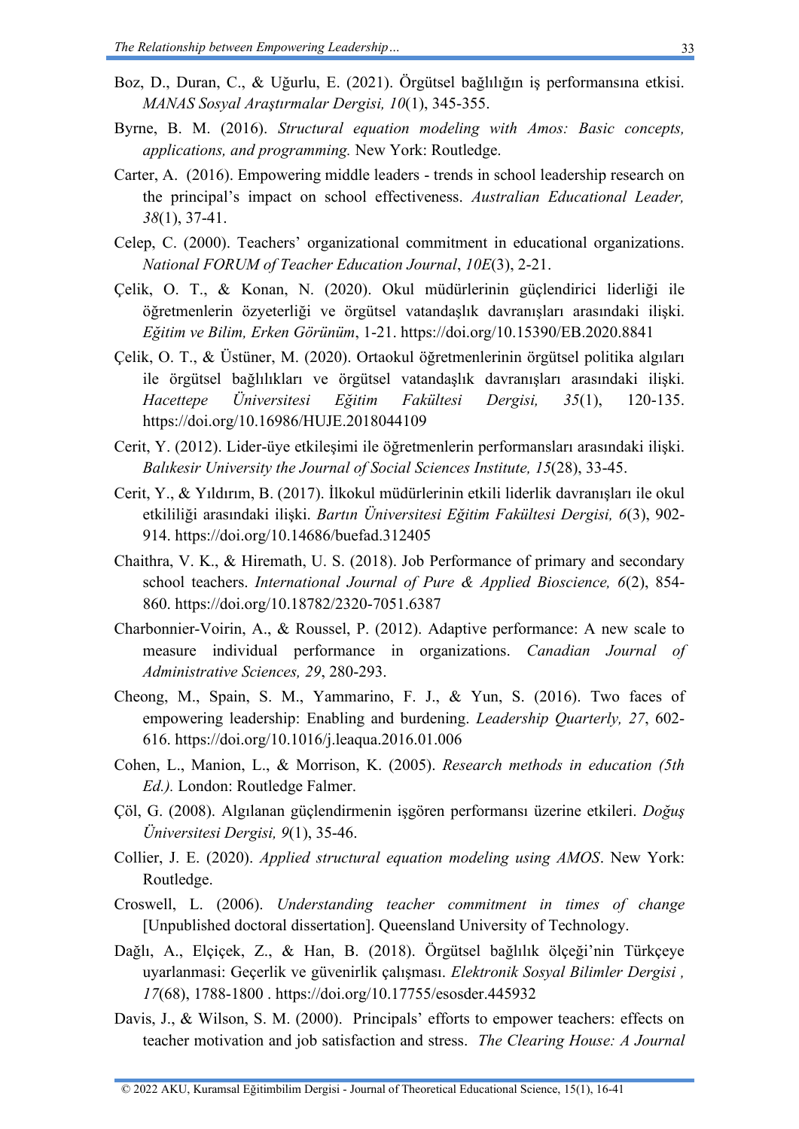- Boz, D., Duran, C., & Uğurlu, E. (2021). Örgütsel bağlılığın iş performansına etkisi. *MANAS Sosyal Araştırmalar Dergisi, 10*(1), 345-355.
- Byrne, B. M. (2016). *Structural equation modeling with Amos: Basic concepts, applications, and programming.* New York: Routledge.
- Carter, A. (2016). Empowering middle leaders trends in school leadership research on the principal's impact on school effectiveness. *Australian Educational Leader, 38*(1), 37-41.
- Celep, C. (2000). Teachers' organizational commitment in educational organizations. *National FORUM of Teacher Education Journal*, *10E*(3), 2-21.
- Çelik, O. T., & Konan, N. (2020). Okul müdürlerinin güçlendirici liderliği ile öğretmenlerin özyeterliği ve örgütsel vatandaşlık davranışları arasındaki ilişki. *Eğitim ve Bilim, Erken Görünüm*, 1-21.<https://doi.org/10.15390/EB.2020.8841>
- Çelik, O. T., & Üstüner, M. (2020). Ortaokul öğretmenlerinin örgütsel politika algıları ile örgütsel bağlılıkları ve örgütsel vatandaşlık davranışları arasındaki ilişki. *Hacettepe Üniversitesi Eğitim Fakültesi Dergisi, 35*(1), 120-135. <https://doi.org/10.16986/HUJE.2018044109>
- Cerit, Y. (2012). Lider-üye etkileşimi ile öğretmenlerin performansları arasındaki ilişki. *Balıkesir University the Journal of Social Sciences Institute, 15*(28), 33-45.
- Cerit, Y., & Yıldırım, B. (2017). İlkokul müdürlerinin etkili liderlik davranışları ile okul etkililiği arasındaki ilişki. *Bartın Üniversitesi Eğitim Fakültesi Dergisi, 6*(3), 902- 914.<https://doi.org/10.14686/buefad.312405>
- Chaithra, V. K., & Hiremath, U. S. (2018). Job Performance of primary and secondary school teachers. *International Journal of Pure & Applied Bioscience, 6*(2), 854- 860.<https://doi.org/10.18782/2320-7051.6387>
- Charbonnier-Voirin, A., & Roussel, P. (2012). Adaptive performance: A new scale to measure individual performance in organizations. *Canadian Journal of Administrative Sciences, 29*, 280-293.
- Cheong, M., Spain, S. M., Yammarino, F. J., & Yun, S. (2016). Two faces of empowering leadership: Enabling and burdening. *Leadership Quarterly, 27*, 602- 616.<https://doi.org/10.1016/j.leaqua.2016.01.006>
- Cohen, L., Manion, L., & Morrison, K. (2005). *Research methods in education (5th Ed.).* London: Routledge Falmer.
- Çöl, G. (2008). Algılanan güçlendirmenin işgören performansı üzerine etkileri. *Doğuş Üniversitesi Dergisi, 9*(1), 35-46.
- Collier, J. E. (2020). *Applied structural equation modeling using AMOS*. New York: Routledge.
- Croswell, L. (2006). *Understanding teacher commitment in times of change* [Unpublished doctoral dissertation]. Queensland University of Technology.
- Dağlı, A., Elçı̇çek, Z., & Han, B. (2018). Örgütsel bağlılık ölçeği'nin Türkçeye uyarlanmasi: Geçerlik ve güvenirlik çalışması. *Elektronik Sosyal Bilimler Dergisi , 17*(68), 1788-1800 .<https://doi.org/10.17755/esosder.445932>
- Davis, J., & Wilson, S. M. (2000). Principals' efforts to empower teachers: effects on teacher motivation and job satisfaction and stress. *The Clearing House: A Journal*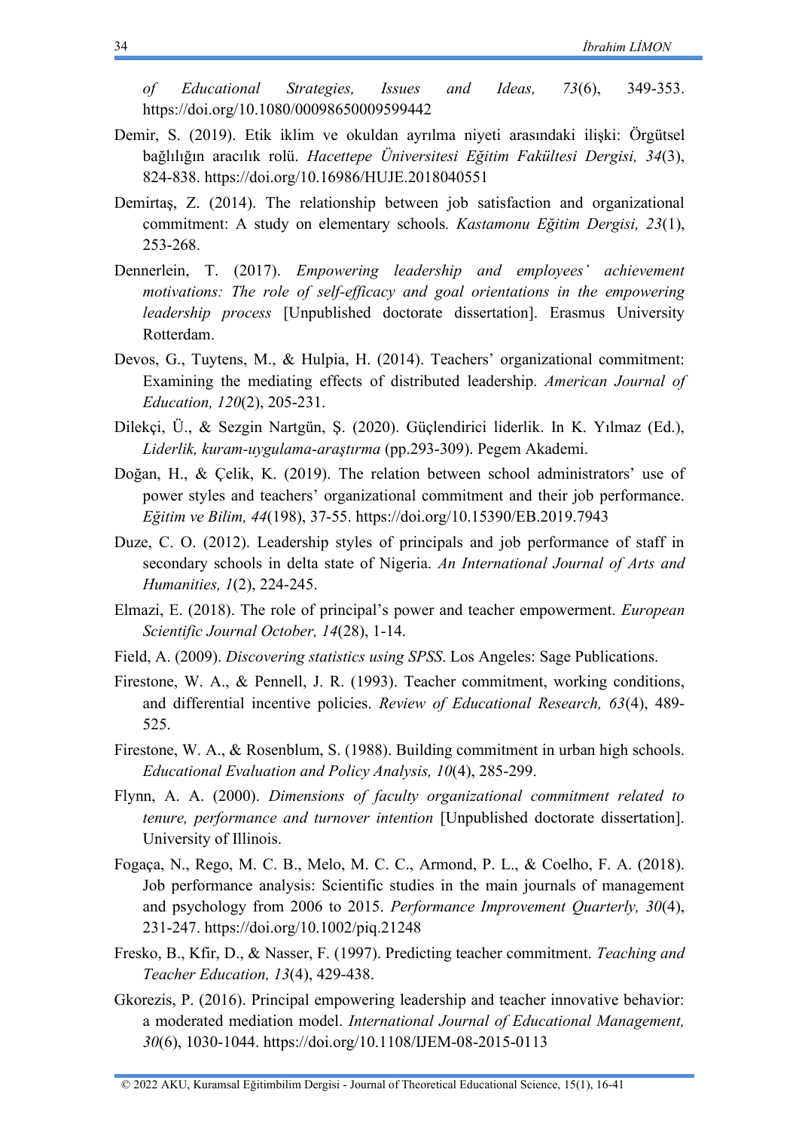*of Educational Strategies, Issues and Ideas, 73*(6), 349-353. <https://doi.org/10.1080/00098650009599442>

- Demir, S. (2019). Etik iklim ve okuldan ayrılma niyeti arasındaki ilişki: Örgütsel bağlılığın aracılık rolü. *Hacettepe Üniversitesi Eğitim Fakültesi Dergisi, 34*(3), 824-838.<https://doi.org/10.16986/HUJE.2018040551>
- Demirtaş, Z. (2014). The relationship between job satisfaction and organizational commitment: A study on elementary schools*. Kastamonu Eğitim Dergisi, 23*(1), 253-268.
- Dennerlein, T. (2017). *Empowering leadership and employees' achievement motivations: The role of self-efficacy and goal orientations in the empowering leadership process* [Unpublished doctorate dissertation]. Erasmus University Rotterdam.
- Devos, G., Tuytens, M., & Hulpia, H. (2014). Teachers' organizational commitment: Examining the mediating effects of distributed leadership. *American Journal of Education, 120*(2), 205-231.
- Dilekçi, Ü., & Sezgin Nartgün, Ş. (2020). Güçlendirici liderlik. In K. Yılmaz (Ed.), *Liderlik, kuram-uygulama-araştırma* (pp.293-309). Pegem Akademi.
- Doğan, H., & Çelik, K. (2019). The relation between school administrators' use of power styles and teachers' organizational commitment and their job performance. *Eğitim ve Bilim, 44*(198), 37-55.<https://doi.org/10.15390/EB.2019.7943>
- Duze, C. O. (2012). Leadership styles of principals and job performance of staff in secondary schools in delta state of Nigeria. *An International Journal of Arts and Humanities, 1*(2), 224-245.
- Elmazi, E. (2018). The role of principal's power and teacher empowerment. *European Scientific Journal October, 14*(28), 1-14.
- Field, A. (2009). *Discovering statistics using SPSS*. Los Angeles: Sage Publications.
- Firestone, W. A., & Pennell, J. R. (1993). Teacher commitment, working conditions, and differential incentive policies. *Review of Educational Research, 63*(4), 489- 525.
- Firestone, W. A., & Rosenblum, S. (1988). Building commitment in urban high schools. *Educational Evaluation and Policy Analysis, 10*(4), 285-299.
- Flynn, A. A. (2000). *Dimensions of faculty organizational commitment related to tenure, performance and turnover intention* [Unpublished doctorate dissertation]. University of Illinois.
- Fogaça, N., Rego, M. C. B., Melo, M. C. C., Armond, P. L., & Coelho, F. A. (2018). Job performance analysis: Scientific studies in the main journals of management and psychology from 2006 to 2015. *Performance Improvement Quarterly, 30*(4), 231-247.<https://doi.org/10.1002/piq.21248>
- Fresko, B., Kfir, D., & Nasser, F. (1997). Predicting teacher commitment. *Teaching and Teacher Education, 13*(4), 429-438.
- Gkorezis, P. (2016). Principal empowering leadership and teacher innovative behavior: a moderated mediation model. *International Journal of Educational Management, 30*(6), 1030-1044.<https://doi.org/10.1108/IJEM-08-2015-0113>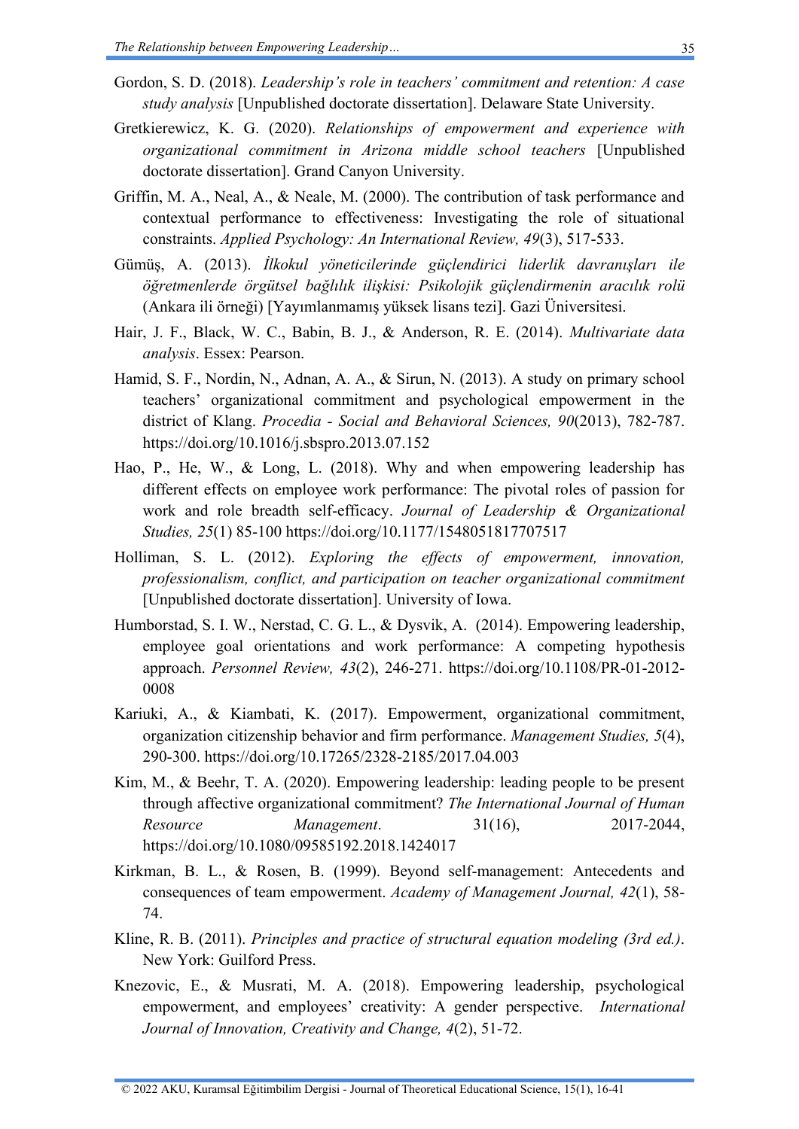- Gordon, S. D. (2018). *Leadership's role in teachers' commitment and retention: A case study analysis* [Unpublished doctorate dissertation]. Delaware State University.
- Gretkierewicz, K. G. (2020). *Relationships of empowerment and experience with organizational commitment in Arizona middle school teachers* [Unpublished doctorate dissertation]. Grand Canyon University.
- Griffin, M. A., Neal, A., & Neale, M. (2000). The contribution of task performance and contextual performance to effectiveness: Investigating the role of situational constraints. *Applied Psychology: An International Review, 49*(3), 517-533.
- Gümüş, A. (2013). *İlkokul yöneticilerinde güçlendirici liderlik davranışları ile öğretmenlerde örgütsel bağlılık ilişkisi: Psikolojik güçlendirmenin aracılık rolü* (Ankara ili örneği) [Yayımlanmamış yüksek lisans tezi]. Gazi Üniversitesi.
- Hair, J. F., Black, W. C., Babin, B. J., & Anderson, R. E. (2014). *Multivariate data analysis*. Essex: Pearson.
- Hamid, S. F., Nordin, N., Adnan, A. A., & Sirun, N. (2013). A study on primary school teachers' organizational commitment and psychological empowerment in the district of Klang. *Procedia - Social and Behavioral Sciences, 90*(2013), 782-787. <https://doi.org/10.1016/j.sbspro.2013.07.152>
- Hao, P., He, W., & Long, L. (2018). Why and when empowering leadership has different effects on employee work performance: The pivotal roles of passion for work and role breadth self-efficacy. *Journal of Leadership & Organizational Studies, 25*(1) 85-100<https://doi.org/10.1177/1548051817707517>
- Holliman, S. L. (2012). *Exploring the effects of empowerment, innovation, professionalism, conflict, and participation on teacher organizational commitment* [Unpublished doctorate dissertation]. University of Iowa.
- Humborstad, S. I. W., Nerstad, C. G. L., & Dysvik, A. (2014). Empowering leadership, employee goal orientations and work performance: A competing hypothesis approach. *Personnel Review, 43*(2), 246-271. [https://doi.org/10.1108/PR-01-2012-](https://doi.org/10.1108/PR-01-2012-0008) [0008](https://doi.org/10.1108/PR-01-2012-0008)
- Kariuki, A., & Kiambati, K. (2017). Empowerment, organizational commitment, organization citizenship behavior and firm performance. *Management Studies, 5*(4), 290-300.<https://doi.org/10.17265/2328-2185/2017.04.003>
- Kim, M., & Beehr, T. A. (2020). Empowering leadership: leading people to be present through affective organizational commitment? *The International Journal of Human Resource Management*. 31(16), 2017-2044, <https://doi.org/10.1080/09585192.2018.1424017>
- Kirkman, B. L., & Rosen, B. (1999). Beyond self-management: Antecedents and consequences of team empowerment. *Academy of Management Journal, 42*(1), 58- 74.
- Kline, R. B. (2011). *Principles and practice of structural equation modeling (3rd ed.)*. New York: Guilford Press.
- Knezovic, E., & Musrati, M. A. (2018). Empowering leadership, psychological empowerment, and employees' creativity: A gender perspective. *International Journal of Innovation, Creativity and Change, 4*(2), 51-72.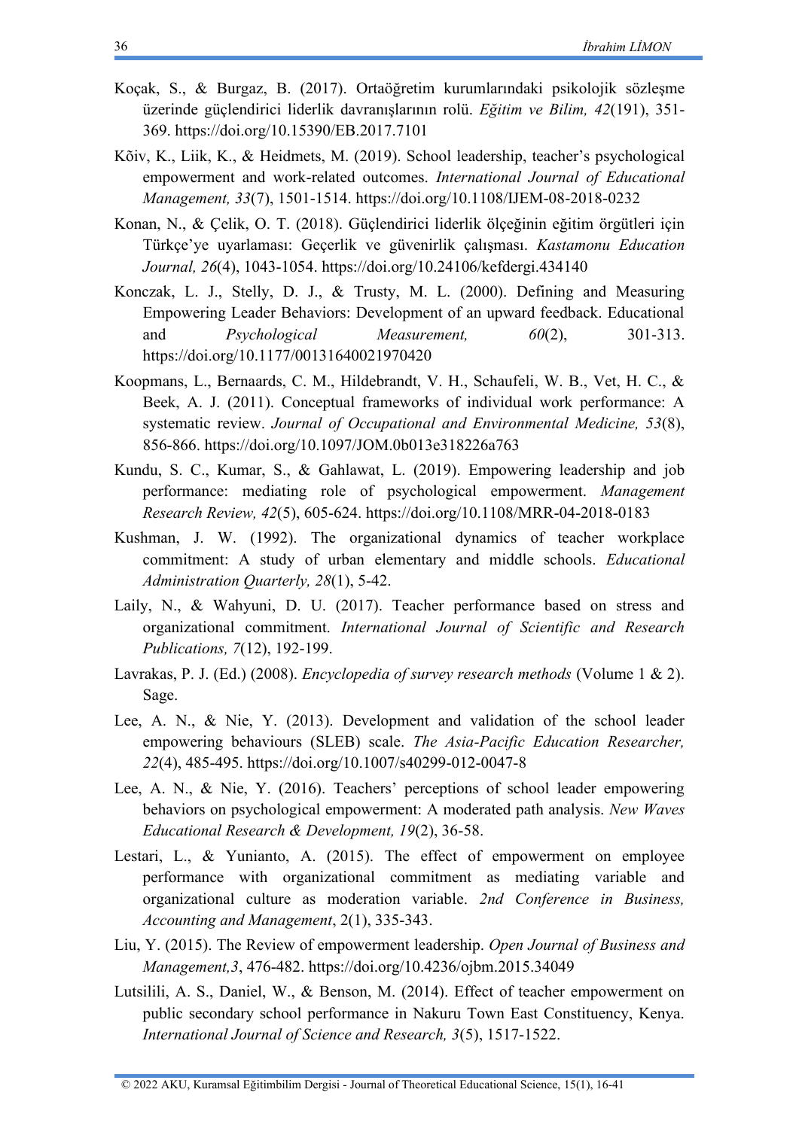- Koçak, S., & Burgaz, B. (2017). Ortaöğretim kurumlarındaki psikolojik sözleşme üzerinde güçlendirici liderlik davranışlarının rolü. *Eğitim ve Bilim, 42*(191), 351- 369.<https://doi.org/10.15390/EB.2017.7101>
- Kõiv, K., Liik, K., & Heidmets, M. (2019). School leadership, teacher's psychological empowerment and work-related outcomes. *International Journal of Educational Management, 33*(7), 1501-1514.<https://doi.org/10.1108/IJEM-08-2018-0232>
- Konan, N., & Çelik, O. T. (2018). Güçlendirici liderlik ölçeğinin eğitim örgütleri için Türkçe'ye uyarlaması: Geçerlik ve güvenirlik çalışması. *Kastamonu Education Journal, 26*(4), 1043-1054.<https://doi.org/10.24106/kefdergi.434140>
- Konczak, L. J., Stelly, D. J., & Trusty, M. L. (2000). Defining and Measuring Empowering Leader Behaviors: Development of an upward feedback. Educational and *Psychological Measurement*,  $60(2)$ ,  $301-313$ . <https://doi.org/10.1177/00131640021970420>
- Koopmans, L., Bernaards, C. M., Hildebrandt, V. H., Schaufeli, W. B., Vet, H. C., & Beek, A. J. (2011). Conceptual frameworks of individual work performance: A systematic review. *Journal of Occupational and Environmental Medicine, 53*(8), 856-866.<https://doi.org/10.1097/JOM.0b013e318226a763>
- Kundu, S. C., Kumar, S., & Gahlawat, L. (2019). Empowering leadership and job performance: mediating role of psychological empowerment. *Management Research Review, 42*(5), 605-624.<https://doi.org/10.1108/MRR-04-2018-0183>
- Kushman, J. W. (1992). The organizational dynamics of teacher workplace commitment: A study of urban elementary and middle schools. *Educational Administration Quarterly, 28*(1), 5-42.
- Laily, N., & Wahyuni, D. U. (2017). Teacher performance based on stress and organizational commitment. *International Journal of Scientific and Research Publications, 7*(12), 192-199.
- Lavrakas, P. J. (Ed.) (2008). *Encyclopedia of survey research methods* (Volume 1 & 2). Sage.
- Lee, A. N., & Nie, Y. (2013). Development and validation of the school leader empowering behaviours (SLEB) scale. *The Asia-Pacific Education Researcher, 22*(4), 485-495.<https://doi.org/10.1007/s40299-012-0047-8>
- Lee, A. N., & Nie, Y. (2016). Teachers' perceptions of school leader empowering behaviors on psychological empowerment: A moderated path analysis. *New Waves Educational Research & Development, 19*(2), 36-58.
- Lestari, L., & Yunianto, A. (2015). The effect of empowerment on employee performance with organizational commitment as mediating variable and organizational culture as moderation variable. *2nd Conference in Business, Accounting and Management*, 2(1), 335-343.
- Liu, Y. (2015). The Review of empowerment leadership. *Open Journal of Business and Management,3*, 476-482.<https://doi.org/10.4236/ojbm.2015.34049>
- Lutsilili, A. S., Daniel, W., & Benson, M. (2014). Effect of teacher empowerment on public secondary school performance in Nakuru Town East Constituency, Kenya. *International Journal of Science and Research, 3*(5), 1517-1522.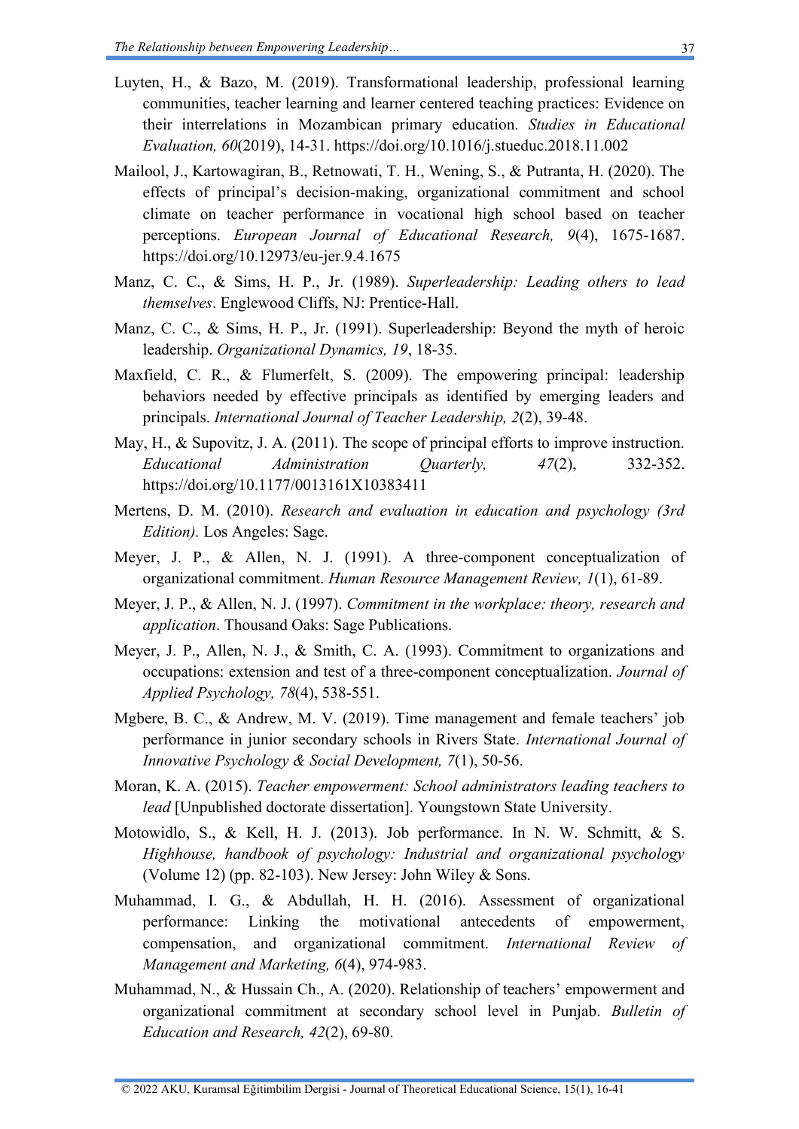- Luyten, H., & Bazo, M. (2019). Transformational leadership, professional learning communities, teacher learning and learner centered teaching practices: Evidence on their interrelations in Mozambican primary education. *Studies in Educational Evaluation, 60*(2019), 14-31.<https://doi.org/10.1016/j.stueduc.2018.11.002>
- Mailool, J., Kartowagiran, B., Retnowati, T. H., Wening, S., & Putranta, H. (2020). The effects of principal's decision-making, organizational commitment and school climate on teacher performance in vocational high school based on teacher perceptions. *European Journal of Educational Research, 9*(4), 1675-1687. <https://doi.org/10.12973/eu-jer.9.4.1675>
- Manz, C. C., & Sims, H. P., Jr. (1989). *Superleadership: Leading others to lead themselves*. Englewood Cliffs, NJ: Prentice-Hall.
- Manz, C. C., & Sims, H. P., Jr. (1991). Superleadership: Beyond the myth of heroic leadership. *Organizational Dynamics, 19*, 18-35.
- Maxfield, C. R., & Flumerfelt, S. (2009). The empowering principal: leadership behaviors needed by effective principals as identified by emerging leaders and principals. *International Journal of Teacher Leadership, 2*(2), 39-48.
- May, H., & Supovitz, J. A. (2011). The scope of principal efforts to improve instruction. *Educational Administration Quarterly, 47*(2), 332-352. <https://doi.org/10.1177/0013161X10383411>
- Mertens, D. M. (2010). *Research and evaluation in education and psychology (3rd Edition).* Los Angeles: Sage.
- Meyer, J. P., & Allen, N. J. (1991). A three-component conceptualization of organizational commitment. *Human Resource Management Review, 1*(1), 61-89.
- Meyer, J. P., & Allen, N. J. (1997). *Commitment in the workplace: theory, research and application*. Thousand Oaks: Sage Publications.
- Meyer, J. P., Allen, N. J., & Smith, C. A. (1993). Commitment to organizations and occupations: extension and test of a three-component conceptualization. *Journal of Applied Psychology, 78*(4), 538-551.
- Mgbere, B. C., & Andrew, M. V. (2019). Time management and female teachers' job performance in junior secondary schools in Rivers State. *International Journal of Innovative Psychology & Social Development, 7*(1), 50-56.
- Moran, K. A. (2015). *Teacher empowerment: School administrators leading teachers to lead* [Unpublished doctorate dissertation]. Youngstown State University.
- Motowidlo, S., & Kell, H. J. (2013). Job performance. In N. W. Schmitt, & S. *Highhouse, handbook of psychology: Industrial and organizational psychology* (Volume 12) (pp. 82-103). New Jersey: John Wiley  $&$  Sons.
- Muhammad, I. G., & Abdullah, H. H. (2016). Assessment of organizational performance: Linking the motivational antecedents of empowerment, compensation, and organizational commitment. *International Review of Management and Marketing, 6*(4), 974-983.
- Muhammad, N., & Hussain Ch., A. (2020). Relationship of teachers' empowerment and organizational commitment at secondary school level in Punjab. *Bulletin of Education and Research, 42*(2), 69-80.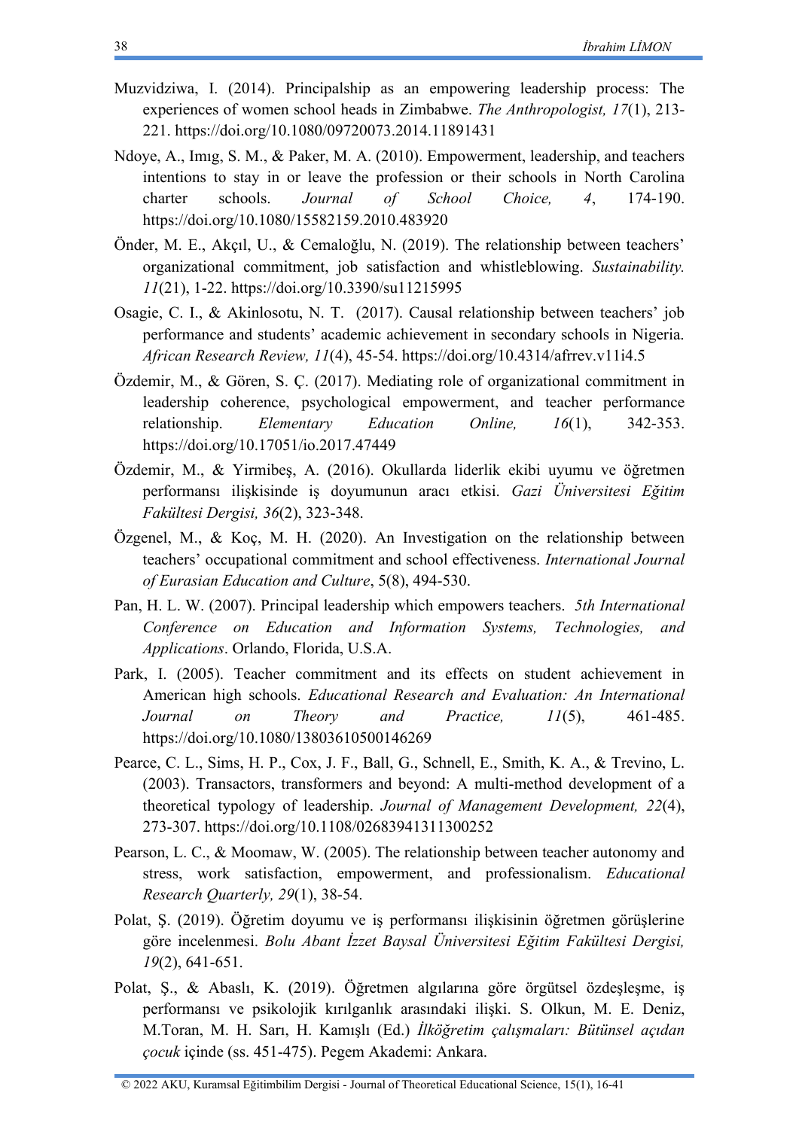- Muzvidziwa, I. (2014). Principalship as an empowering leadership process: The experiences of women school heads in Zimbabwe. *The Anthropologist, 17*(1), 213- 221.<https://doi.org/10.1080/09720073.2014.11891431>
- Ndoye, A., Imıg, S. M., & Paker, M. A. (2010). Empowerment, leadership, and teachers intentions to stay in or leave the profession or their schools in North Carolina charter schools. *Journal of School Choice, 4*, 174-190. <https://doi.org/10.1080/15582159.2010.483920>
- Önder, M. E., Akçıl, U., & Cemaloğlu, N. (2019). The relationship between teachers' organizational commitment, job satisfaction and whistleblowing. *Sustainability. 11*(21), 1-22.<https://doi.org/10.3390/su11215995>
- Osagie, C. I., & Akinlosotu, N. T. (2017). Causal relationship between teachers' job performance and students' academic achievement in secondary schools in Nigeria. *African Research Review, 11*(4), 45-54.<https://doi.org/10.4314/afrrev.v11i4.5>
- Özdemir, M., & Gören, S. Ç. (2017). Mediating role of organizational commitment in leadership coherence, psychological empowerment, and teacher performance relationship. *Elementary Education Online, 16*(1), 342-353. <https://doi.org/10.17051/io.2017.47449>
- Özdemir, M., & Yirmibeş, A. (2016). Okullarda liderlik ekibi uyumu ve öğretmen performansı ilişkisinde iş doyumunun aracı etkisi. *Gazi Üniversitesi Eğitim Fakültesi Dergisi, 36*(2), 323-348.
- Özgenel, M., & Koç, M. H. (2020). An Investigation on the relationship between teachers' occupational commitment and school effectiveness. *International Journal of Eurasian Education and Culture*, 5(8), 494-530.
- Pan, H. L. W. (2007). Principal leadership which empowers teachers. *5th International Conference on Education and Information Systems, Technologies, and Applications*. Orlando, Florida, U.S.A.
- Park, I. (2005). Teacher commitment and its effects on student achievement in American high schools. *Educational Research and Evaluation: An International Journal on Theory and Practice, 11*(5), 461-485. <https://doi.org/10.1080/13803610500146269>
- Pearce, C. L., Sims, H. P., Cox, J. F., Ball, G., Schnell, E., Smith, K. A., & Trevino, L. (2003). Transactors, transformers and beyond: A multi-method development of a theoretical typology of leadership. *Journal of Management Development, 22*(4), 273-307.<https://doi.org/10.1108/02683941311300252>
- Pearson, L. C., & Moomaw, W. (2005). The relationship between teacher autonomy and stress, work satisfaction, empowerment, and professionalism. *Educational Research Quarterly, 29*(1), 38-54.
- Polat, Ş. (2019). Öğretim doyumu ve iş performansı ilişkisinin öğretmen görüşlerine göre incelenmesi. *Bolu Abant İzzet Baysal Üniversitesi Eğitim Fakültesi Dergisi, 19*(2), 641-651.
- Polat, Ş., & Abaslı, K. (2019). Öğretmen algılarına göre örgütsel özdeşleşme, iş performansı ve psikolojik kırılganlık arasındaki ilişki. S. Olkun, M. E. Deniz, M.Toran, M. H. Sarı, H. Kamışlı (Ed.) *İlköğretim çalışmaları: Bütünsel açıdan çocuk* içinde (ss. 451-475). Pegem Akademi: Ankara.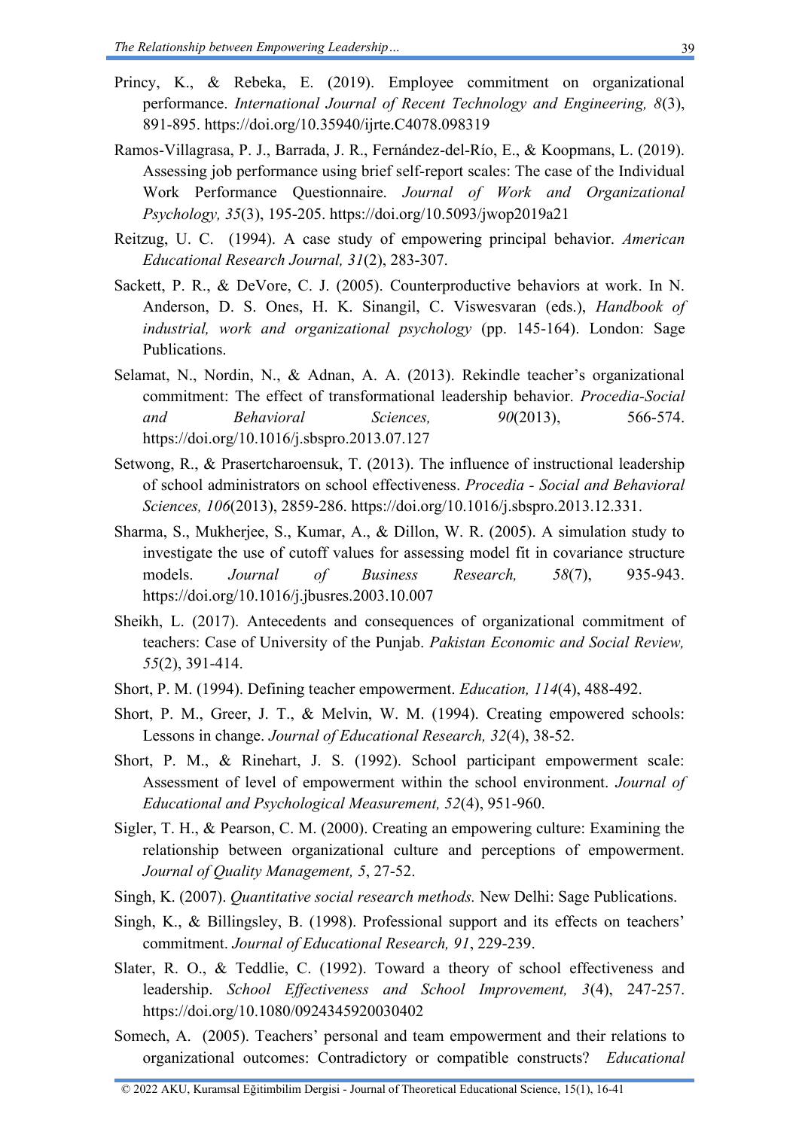- Princy, K., & Rebeka, E. (2019). Employee commitment on organizational performance. *International Journal of Recent Technology and Engineering, 8*(3), 891-895.<https://doi.org/10.35940/ijrte.C4078.098319>
- Ramos-Villagrasa, P. J., Barrada, J. R., Fernández-del-Río, E., & Koopmans, L. (2019). Assessing job performance using brief self-report scales: The case of the Individual Work Performance Questionnaire. *Journal of Work and Organizational Psychology, 35*(3), 195-205.<https://doi.org/10.5093/jwop2019a21>
- Reitzug, U. C. (1994). A case study of empowering principal behavior. *American Educational Research Journal, 31*(2), 283-307.
- Sackett, P. R., & DeVore, C. J. (2005). Counterproductive behaviors at work. In N. Anderson, D. S. Ones, H. K. Sinangil, C. Viswesvaran (eds.), *Handbook of industrial, work and organizational psychology* (pp. 145-164). London: Sage Publications.
- Selamat, N., Nordin, N., & Adnan, A. A. (2013). Rekindle teacher's organizational commitment: The effect of transformational leadership behavior. *Procedia-Social and Behavioral Sciences, 90*(2013), 566-574. <https://doi.org/10.1016/j.sbspro.2013.07.127>
- Setwong, R., & Prasertcharoensuk, T. (2013). The influence of instructional leadership of school administrators on school effectiveness. *Procedia - Social and Behavioral Sciences, 106*(2013), 2859-286. [https://doi.org/10.1016/j.sbspro.2013.12.331.](https://doi.org/10.1016/j.sbspro.2013.12.331)
- Sharma, S., Mukherjee, S., Kumar, A., & Dillon, W. R. (2005). A simulation study to investigate the use of cutoff values for assessing model fit in covariance structure models. *Journal of Business Research, 58*(7), 935-943. <https://doi.org/10.1016/j.jbusres.2003.10.007>
- Sheikh, L. (2017). Antecedents and consequences of organizational commitment of teachers: Case of University of the Punjab. *Pakistan Economic and Social Review, 55*(2), 391-414.
- Short, P. M. (1994). Defining teacher empowerment. *Education, 114*(4), 488-492.
- Short, P. M., Greer, J. T., & Melvin, W. M. (1994). Creating empowered schools: Lessons in change. *Journal of Educational Research, 32*(4), 38-52.
- Short, P. M., & Rinehart, J. S. (1992). School participant empowerment scale: Assessment of level of empowerment within the school environment. *Journal of Educational and Psychological Measurement, 52*(4), 951-960.
- Sigler, T. H., & Pearson, C. M. (2000). Creating an empowering culture: Examining the relationship between organizational culture and perceptions of empowerment. *Journal of Quality Management, 5*, 27-52.
- Singh, K. (2007). *Quantitative social research methods.* New Delhi: Sage Publications.
- Singh, K., & Billingsley, B. (1998). Professional support and its effects on teachers' commitment. *Journal of Educational Research, 91*, 229-239.
- Slater, R. O., & Teddlie, C. (1992). Toward a theory of school effectiveness and leadership. *School Effectiveness and School Improvement, 3*(4), 247-257. <https://doi.org/10.1080/0924345920030402>
- Somech, A. (2005). Teachers' personal and team empowerment and their relations to organizational outcomes: Contradictory or compatible constructs? *Educational*

39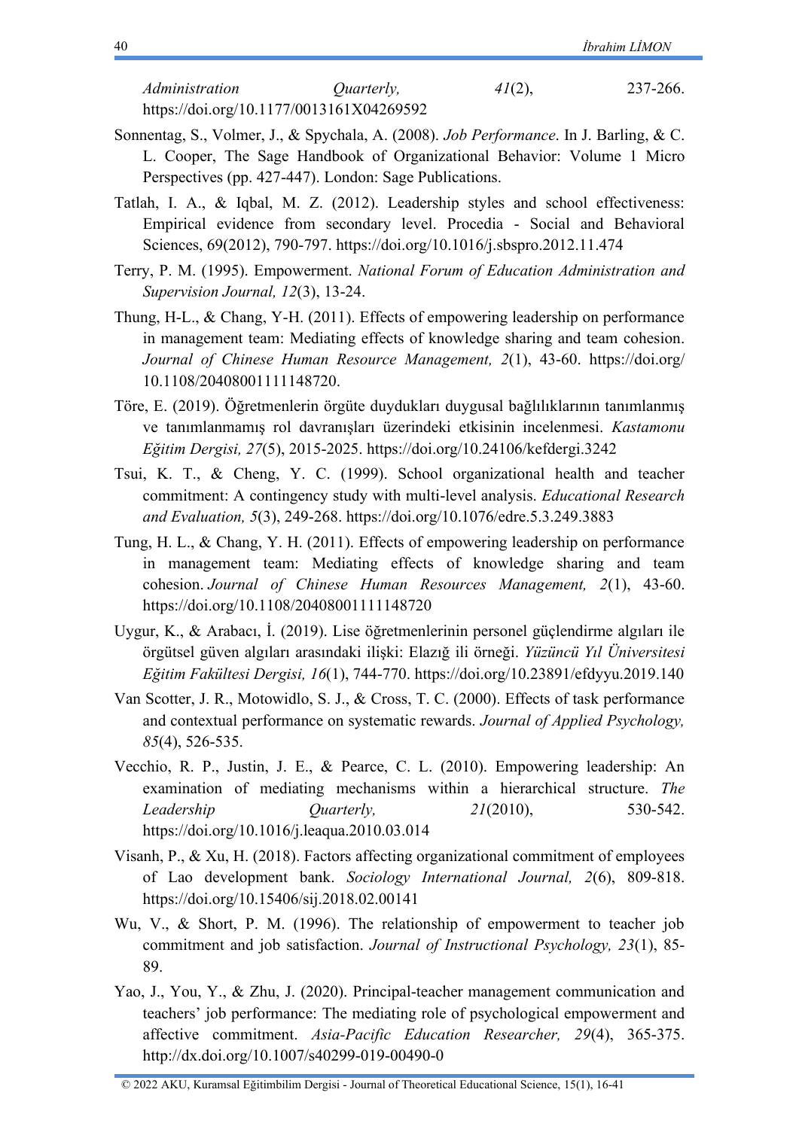*Administration Quarterly, 41*(2), 237-266. <https://doi.org/10.1177/0013161X04269592>

- Sonnentag, S., Volmer, J., & Spychala, A. (2008). *Job Performance*. In J. Barling, & C. L. Cooper, The Sage Handbook of Organizational Behavior: Volume 1 Micro Perspectives (pp. 427-447). London: Sage Publications.
- Tatlah, I. A., & Iqbal, M. Z. (2012). Leadership styles and school effectiveness: Empirical evidence from secondary level. Procedia - Social and Behavioral Sciences, 69(2012), 790-797.<https://doi.org/10.1016/j.sbspro.2012.11.474>
- Terry, P. M. (1995). Empowerment. *National Forum of Education Administration and Supervision Journal, 12*(3), 13-24.
- Thung, H-L., & Chang, Y-H. (2011). Effects of empowering leadership on performance in management team: Mediating effects of knowledge sharing and team cohesion. *Journal of Chinese Human Resource Management, 2*(1), 43-60. https://doi.org/ 10.1108/20408001111148720.
- Töre, E. (2019). Öğretmenlerin örgüte duydukları duygusal bağlılıklarının tanımlanmış ve tanımlanmamış rol davranışları üzerindeki etkisinin incelenmesi. *Kastamonu Eğitim Dergisi, 27*(5), 2015-2025.<https://doi.org/10.24106/kefdergi.3242>
- Tsui, K. T., & Cheng, Y. C. (1999). School organizational health and teacher commitment: A contingency study with multi-level analysis. *Educational Research and Evaluation, 5*(3), 249-268. <https://doi.org/10.1076/edre.5.3.249.3883>
- Tung, H. L., & Chang, Y. H. (2011). Effects of empowering leadership on performance in management team: Mediating effects of knowledge sharing and team cohesion. *Journal of Chinese Human Resources Management, 2*(1), 43-60. <https://doi.org/10.1108/20408001111148720>
- Uygur, K., & Arabacı, İ. (2019). Lise öğretmenlerinin personel güçlendirme algıları ile örgütsel güven algıları arasındaki ilişki: Elazığ ili örneği. *Yüzüncü Yıl Üniversitesi Eğitim Fakültesi Dergisi, 16*(1), 744-770.<https://doi.org/10.23891/efdyyu.2019.140>
- Van Scotter, J. R., Motowidlo, S. J., & Cross, T. C. (2000). Effects of task performance and contextual performance on systematic rewards. *Journal of Applied Psychology, 85*(4), 526-535.
- Vecchio, R. P., Justin, J. E., & Pearce, C. L. (2010). Empowering leadership: An examination of mediating mechanisms within a hierarchical structure. *The Leadership Quarterly, 21*(2010), 530-542. <https://doi.org/10.1016/j.leaqua.2010.03.014>
- Visanh, P., & Xu, H. (2018). Factors affecting organizational commitment of employees of Lao development bank. *Sociology International Journal, 2*(6), 809-818. <https://doi.org/10.15406/sij.2018.02.00141>
- Wu, V., & Short, P. M. (1996). The relationship of empowerment to teacher job commitment and job satisfaction. *Journal of Instructional Psychology, 23*(1), 85- 89.
- Yao, J., You, Y., & Zhu, J. (2020). Principal-teacher management communication and teachers' job performance: The mediating role of psychological empowerment and affective commitment. *Asia-Pacific Education Researcher, 29*(4), 365-375. <http://dx.doi.org/10.1007/s40299-019-00490-0>